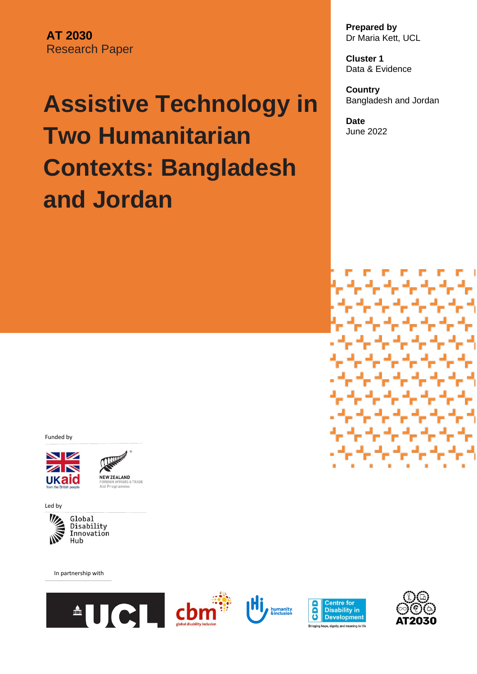**AT 2030** Research Paper

# **Assistive Technology in Two Humanitarian Contexts: Bangladesh and Jordan**

**Prepared by** Dr Maria Kett, UCL

**Cluster 1** Data & Evidence

**Country** Bangladesh and Jordan

**Date** June 2022







Led by



In partnership with







- 454

التواريخ

والمراجات

المتوافق والمستوفي

الموارثة والمراجع

المتوافقة والمراجع

かんかんかん かんかんかん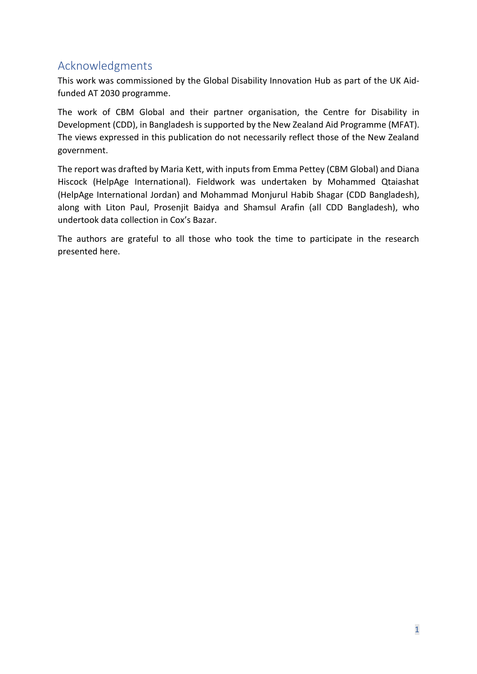# <span id="page-1-0"></span>Acknowledgments

This work was commissioned by the Global Disability Innovation Hub as part of the UK Aidfunded AT 2030 programme.

The work of CBM Global and their partner organisation, the Centre for Disability in Development (CDD), in Bangladesh is supported by the New Zealand Aid Programme (MFAT). The views expressed in this publication do not necessarily reflect those of the New Zealand government.

The report was drafted by Maria Kett, with inputs from Emma Pettey (CBM Global) and Diana Hiscock (HelpAge International). Fieldwork was undertaken by Mohammed Qtaiashat (HelpAge International Jordan) and Mohammad Monjurul Habib Shagar (CDD Bangladesh), along with Liton Paul, Prosenjit Baidya and Shamsul Arafin (all CDD Bangladesh), who undertook data collection in Cox's Bazar.

The authors are grateful to all those who took the time to participate in the research presented here.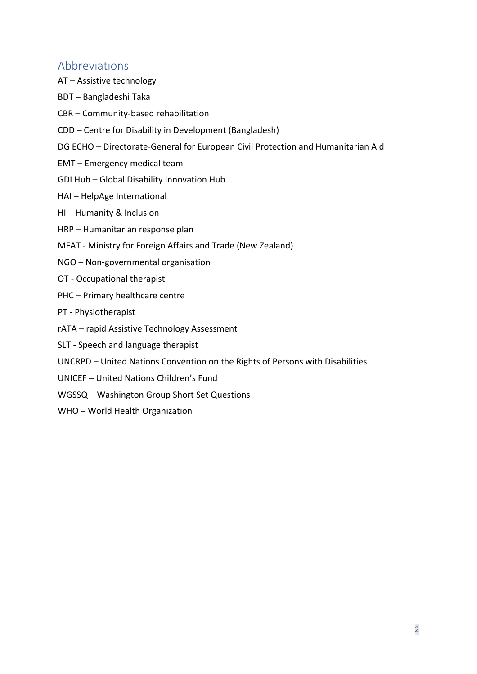## <span id="page-2-0"></span>Abbreviations

- AT Assistive technology
- BDT Bangladeshi Taka
- CBR Community-based rehabilitation
- CDD Centre for Disability in Development (Bangladesh)
- DG ECHO Directorate-General for European Civil Protection and Humanitarian Aid
- EMT Emergency medical team
- GDI Hub Global Disability Innovation Hub
- HAI HelpAge International
- HI Humanity & Inclusion
- HRP Humanitarian response plan
- MFAT Ministry for Foreign Affairs and Trade (New Zealand)
- NGO Non-governmental organisation
- OT Occupational therapist
- PHC Primary healthcare centre
- PT Physiotherapist
- rATA rapid Assistive Technology Assessment
- SLT Speech and language therapist
- UNCRPD United Nations Convention on the Rights of Persons with Disabilities
- UNICEF United Nations Children's Fund
- WGSSQ Washington Group Short Set Questions
- WHO World Health Organization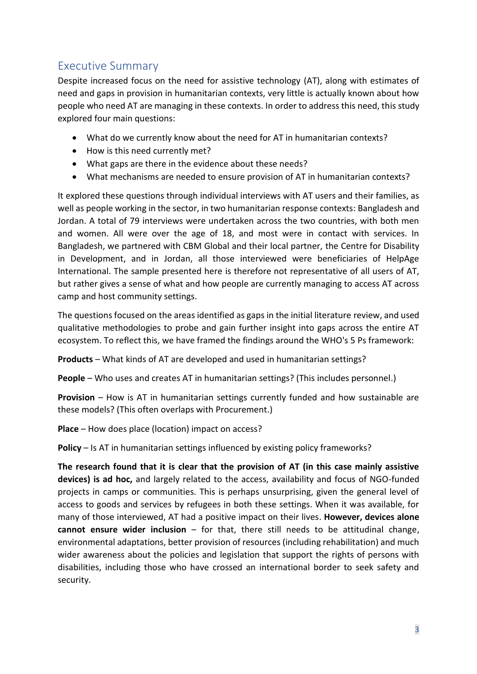# <span id="page-3-0"></span>Executive Summary

Despite increased focus on the need for assistive technology (AT), along with estimates of need and gaps in provision in humanitarian contexts, very little is actually known about how people who need AT are managing in these contexts. In order to address this need, this study explored four main questions:

- What do we currently know about the need for AT in humanitarian contexts?
- How is this need currently met?
- What gaps are there in the evidence about these needs?
- What mechanisms are needed to ensure provision of AT in humanitarian contexts?

It explored these questions through individual interviews with AT users and their families, as well as people working in the sector, in two humanitarian response contexts: Bangladesh and Jordan. A total of 79 interviews were undertaken across the two countries, with both men and women. All were over the age of 18, and most were in contact with services. In Bangladesh, we partnered with CBM Global and their local partner, the Centre for Disability in Development, and in Jordan, all those interviewed were beneficiaries of HelpAge International. The sample presented here is therefore not representative of all users of AT, but rather gives a sense of what and how people are currently managing to access AT across camp and host community settings.

The questions focused on the areas identified as gaps in the initial literature review, and used qualitative methodologies to probe and gain further insight into gaps across the entire AT ecosystem. To reflect this, we have framed the findings around the WHO's 5 Ps framework:

**Products** – What kinds of AT are developed and used in humanitarian settings?

**People** – Who uses and creates AT in humanitarian settings? (This includes personnel.)

**Provision** – How is AT in humanitarian settings currently funded and how sustainable are these models? (This often overlaps with Procurement.)

**Place** – How does place (location) impact on access?

**Policy** – Is AT in humanitarian settings influenced by existing policy frameworks?

**The research found that it is clear that the provision of AT (in this case mainly assistive devices) is ad hoc,** and largely related to the access, availability and focus of NGO-funded projects in camps or communities. This is perhaps unsurprising, given the general level of access to goods and services by refugees in both these settings. When it was available, for many of those interviewed, AT had a positive impact on their lives. **However, devices alone cannot ensure wider inclusion** – for that, there still needs to be attitudinal change, environmental adaptations, better provision of resources (including rehabilitation) and much wider awareness about the policies and legislation that support the rights of persons with disabilities, including those who have crossed an international border to seek safety and security.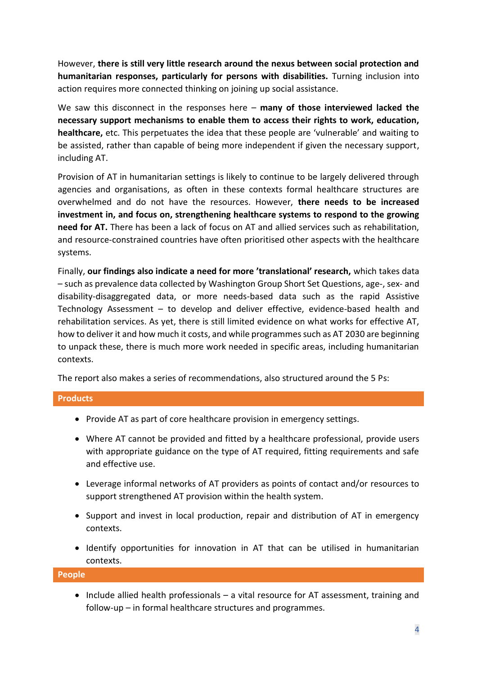However, **there is still very little research around the nexus between social protection and humanitarian responses, particularly for persons with disabilities.** Turning inclusion into action requires more connected thinking on joining up social assistance.

We saw this disconnect in the responses here – **many of those interviewed lacked the necessary support mechanisms to enable them to access their rights to work, education, healthcare,** etc. This perpetuates the idea that these people are 'vulnerable' and waiting to be assisted, rather than capable of being more independent if given the necessary support, including AT.

Provision of AT in humanitarian settings is likely to continue to be largely delivered through agencies and organisations, as often in these contexts formal healthcare structures are overwhelmed and do not have the resources. However, **there needs to be increased investment in, and focus on, strengthening healthcare systems to respond to the growing need for AT.** There has been a lack of focus on AT and allied services such as rehabilitation, and resource-constrained countries have often prioritised other aspects with the healthcare systems.

Finally, **our findings also indicate a need for more 'translational' research,** which takes data – such as prevalence data collected by Washington Group Short Set Questions, age-, sex- and disability-disaggregated data, or more needs-based data such as the rapid Assistive Technology Assessment – to develop and deliver effective, evidence-based health and rehabilitation services. As yet, there is still limited evidence on what works for effective AT, how to deliver it and how much it costs, and while programmes such as AT 2030 are beginning to unpack these, there is much more work needed in specific areas, including humanitarian contexts.

The report also makes a series of recommendations, also structured around the 5 Ps:

#### **Products**

- Provide AT as part of core healthcare provision in emergency settings.
- Where AT cannot be provided and fitted by a healthcare professional, provide users with appropriate guidance on the type of AT required, fitting requirements and safe and effective use.
- Leverage informal networks of AT providers as points of contact and/or resources to support strengthened AT provision within the health system.
- Support and invest in local production, repair and distribution of AT in emergency contexts.
- Identify opportunities for innovation in AT that can be utilised in humanitarian contexts.

**People**

• Include allied health professionals – a vital resource for AT assessment, training and follow-up – in formal healthcare structures and programmes.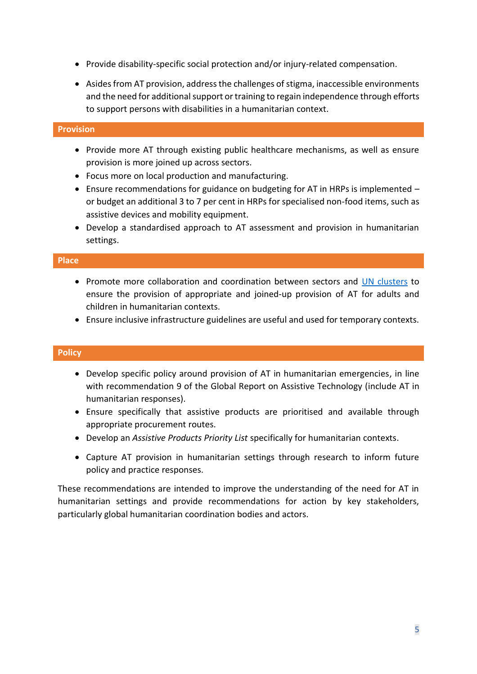- Provide disability-specific social protection and/or injury-related compensation.
- Asides from AT provision, address the challenges of stigma, inaccessible environments and the need for additional support or training to regain independence through efforts to support persons with disabilities in a humanitarian context.

#### **Provision**

- Provide more AT through existing public healthcare mechanisms, as well as ensure provision is more joined up across sectors.
- Focus more on local production and manufacturing.
- Ensure recommendations for guidance on budgeting for AT in HRPs is implemented or budget an additional 3 to 7 per cent in HRPs for specialised non-food items, such as assistive devices and mobility equipment.
- Develop a standardised approach to AT assessment and provision in humanitarian settings.

#### **Place**

- Promote more collaboration and coordination between sectors and [UN clusters](https://www.humanitarianresponse.info/en/coordination/clusters/what-cluster-approach) to ensure the provision of appropriate and joined-up provision of AT for adults and children in humanitarian contexts.
- Ensure inclusive infrastructure guidelines are useful and used for temporary contexts.

#### **Policy**

- Develop specific policy around provision of AT in humanitarian emergencies, in line with recommendation 9 of the Global Report on Assistive Technology (include AT in humanitarian responses).
- Ensure specifically that assistive products are prioritised and available through appropriate procurement routes.
- Develop an *Assistive Products Priority List* specifically for humanitarian contexts.
- Capture AT provision in humanitarian settings through research to inform future policy and practice responses.

These recommendations are intended to improve the understanding of the need for AT in humanitarian settings and provide recommendations for action by key stakeholders, particularly global humanitarian coordination bodies and actors.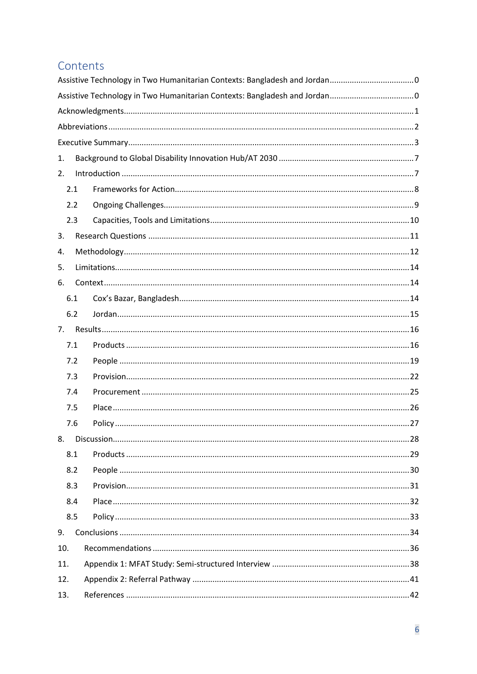# Contents

| 1.  |  |
|-----|--|
| 2.  |  |
| 2.1 |  |
| 2.2 |  |
| 2.3 |  |
| 3.  |  |
| 4.  |  |
| 5.  |  |
| 6.  |  |
| 6.1 |  |
| 6.2 |  |
| 7.  |  |
| 7.1 |  |
| 7.2 |  |
| 7.3 |  |
| 7.4 |  |
| 7.5 |  |
| 7.6 |  |
| 8.  |  |
| 8.1 |  |
| 8.2 |  |
| 8.3 |  |
| 8.4 |  |
| 8.5 |  |
| 9.  |  |
| 10. |  |
| 11. |  |
| 12. |  |
| 13. |  |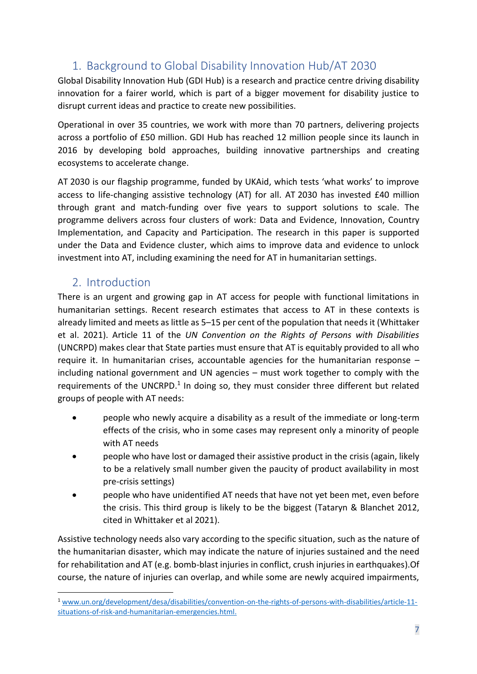# 1. Background to Global Disability Innovation Hub/AT 2030

<span id="page-7-0"></span>Global Disability Innovation Hub (GDI Hub) is a research and practice centre driving disability innovation for a fairer world, which is part of a bigger movement for disability justice to disrupt current ideas and practice to create new possibilities.

Operational in over 35 countries, we work with more than 70 partners, delivering projects across a portfolio of £50 million. GDI Hub has reached 12 million people since its launch in 2016 by developing bold approaches, building innovative partnerships and creating ecosystems to accelerate change.

AT 2030 is our flagship programme, funded by UKAid, which tests 'what works' to improve access to life-changing assistive technology (AT) for all. AT 2030 has invested £40 million through grant and match-funding over five years to support solutions to scale. The programme delivers across four clusters of work: Data and Evidence, Innovation, Country Implementation, and Capacity and Participation. The research in this paper is supported under the Data and Evidence cluster, which aims to improve data and evidence to unlock investment into AT, including examining the need for AT in humanitarian settings.

## <span id="page-7-1"></span>2. Introduction

There is an urgent and growing gap in AT access for people with functional limitations in humanitarian settings. Recent research estimates that access to AT in these contexts is already limited and meets as little as 5–15 per cent of the population that needs it (Whittaker et al. 2021). Article 11 of the *UN Convention on the Rights of Persons with Disabilities* (UNCRPD) makes clear that State parties must ensure that AT is equitably provided to all who require it. In humanitarian crises, accountable agencies for the humanitarian response – including national government and UN agencies – must work together to comply with the requirements of the UNCRPD.<sup>1</sup> In doing so, they must consider three different but related groups of people with AT needs:

- people who newly acquire a disability as a result of the immediate or long-term effects of the crisis, who in some cases may represent only a minority of people with AT needs
- people who have lost or damaged their assistive product in the crisis (again, likely to be a relatively small number given the paucity of product availability in most pre-crisis settings)
- people who have unidentified AT needs that have not yet been met, even before the crisis. This third group is likely to be the biggest (Tataryn & Blanchet 2012, cited in Whittaker et al 2021).

Assistive technology needs also vary according to the specific situation, such as the nature of the humanitarian disaster, which may indicate the nature of injuries sustained and the need for rehabilitation and AT (e.g. bomb-blast injuries in conflict, crush injuries in earthquakes).Of course, the nature of injuries can overlap, and while some are newly acquired impairments,

<sup>1</sup> [www.un.org/development/desa/disabilities/convention-on-the-rights-of-persons-with-disabilities/article-11](https://www.un.org/development/desa/disabilities/convention-on-the-rights-of-persons-with-disabilities/article-11-situations-of-risk-and-humanitarian-emergencies.html) [situations-of-risk-and-humanitarian-emergencies.html.](https://www.un.org/development/desa/disabilities/convention-on-the-rights-of-persons-with-disabilities/article-11-situations-of-risk-and-humanitarian-emergencies.html)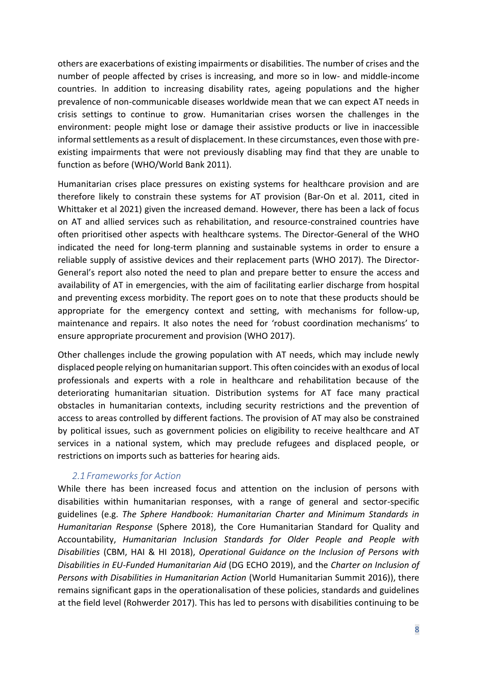others are exacerbations of existing impairments or disabilities. The number of crises and the number of people affected by crises is increasing, and more so in low- and middle-income countries. In addition to increasing disability rates, ageing populations and the higher prevalence of non-communicable diseases worldwide mean that we can expect AT needs in crisis settings to continue to grow. Humanitarian crises worsen the challenges in the environment: people might lose or damage their assistive products or live in inaccessible informal settlements as a result of displacement. In these circumstances, even those with preexisting impairments that were not previously disabling may find that they are unable to function as before (WHO/World Bank 2011).

Humanitarian crises place pressures on existing systems for healthcare provision and are therefore likely to constrain these systems for AT provision (Bar-On et al. 2011, cited in Whittaker et al 2021) given the increased demand. However, there has been a lack of focus on AT and allied services such as rehabilitation, and resource-constrained countries have often prioritised other aspects with healthcare systems. The Director-General of the WHO indicated the need for long-term planning and sustainable systems in order to ensure a reliable supply of assistive devices and their replacement parts (WHO 2017). The Director-General's report also noted the need to plan and prepare better to ensure the access and availability of AT in emergencies, with the aim of facilitating earlier discharge from hospital and preventing excess morbidity. The report goes on to note that these products should be appropriate for the emergency context and setting, with mechanisms for follow-up, maintenance and repairs. It also notes the need for 'robust coordination mechanisms' to ensure appropriate procurement and provision (WHO 2017).

Other challenges include the growing population with AT needs, which may include newly displaced people relying on humanitarian support. This often coincides with an exodus of local professionals and experts with a role in healthcare and rehabilitation because of the deteriorating humanitarian situation. Distribution systems for AT face many practical obstacles in humanitarian contexts, including security restrictions and the prevention of access to areas controlled by different factions. The provision of AT may also be constrained by political issues, such as government policies on eligibility to receive healthcare and AT services in a national system, which may preclude refugees and displaced people, or restrictions on imports such as batteries for hearing aids.

#### *2.1 Frameworks for Action*

<span id="page-8-0"></span>While there has been increased focus and attention on the inclusion of persons with disabilities within humanitarian responses, with a range of general and sector-specific guidelines (e.g. *The Sphere Handbook: Humanitarian Charter and Minimum Standards in Humanitarian Response* (Sphere 2018), the Core Humanitarian Standard for Quality and Accountability, *Humanitarian Inclusion Standards for Older People and People with Disabilities* (CBM, HAI & HI 2018), *Operational Guidance on the Inclusion of Persons with Disabilities in EU-Funded Humanitarian Aid* (DG ECHO 2019), and the *Charter on Inclusion of Persons with Disabilities in Humanitarian Action* (World Humanitarian Summit 2016)), there remains significant gaps in the operationalisation of these policies, standards and guidelines at the field level (Rohwerder 2017). This has led to persons with disabilities continuing to be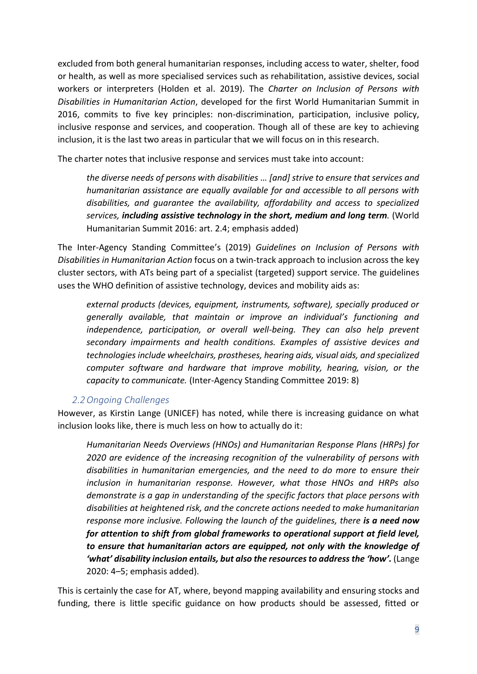excluded from both general humanitarian responses, including access to water, shelter, food or health, as well as more specialised services such as rehabilitation, assistive devices, social workers or interpreters (Holden et al. 2019). The *Charter on Inclusion of Persons with Disabilities in Humanitarian Action*, developed for the first World Humanitarian Summit in 2016, commits to five key principles: non-discrimination, participation, inclusive policy, inclusive response and services, and cooperation. Though all of these are key to achieving inclusion, it is the last two areas in particular that we will focus on in this research.

The charter notes that inclusive response and services must take into account:

*the diverse needs of persons with disabilities … [and] strive to ensure that services and humanitarian assistance are equally available for and accessible to all persons with disabilities, and guarantee the availability, affordability and access to specialized services, including assistive technology in the short, medium and long term.* (World Humanitarian Summit 2016: art. 2.4; emphasis added)

The Inter-Agency Standing Committee's (2019) *Guidelines on Inclusion of Persons with Disabilities in Humanitarian Action* focus on a twin-track approach to inclusion across the key cluster sectors, with ATs being part of a specialist (targeted) support service. The guidelines uses the WHO definition of assistive technology, devices and mobility aids as:

*external products (devices, equipment, instruments, software), specially produced or generally available, that maintain or improve an individual's functioning and independence, participation, or overall well-being. They can also help prevent secondary impairments and health conditions. Examples of assistive devices and technologies include wheelchairs, prostheses, hearing aids, visual aids, and specialized computer software and hardware that improve mobility, hearing, vision, or the capacity to communicate.* (Inter-Agency Standing Committee 2019: 8)

#### *2.2Ongoing Challenges*

<span id="page-9-0"></span>However, as Kirstin Lange (UNICEF) has noted, while there is increasing guidance on what inclusion looks like, there is much less on how to actually do it:

*Humanitarian Needs Overviews (HNOs) and Humanitarian Response Plans (HRPs) for 2020 are evidence of the increasing recognition of the vulnerability of persons with disabilities in humanitarian emergencies, and the need to do more to ensure their inclusion in humanitarian response. However, what those HNOs and HRPs also demonstrate is a gap in understanding of the specific factors that place persons with disabilities at heightened risk, and the concrete actions needed to make humanitarian response more inclusive. Following the launch of the guidelines, there is a need now for attention to shift from global frameworks to operational support at field level, to ensure that humanitarian actors are equipped, not only with the knowledge of 'what' disability inclusion entails, but also the resources to address the 'how'.* (Lange 2020: 4–5; emphasis added).

This is certainly the case for AT, where, beyond mapping availability and ensuring stocks and funding, there is little specific guidance on how products should be assessed, fitted or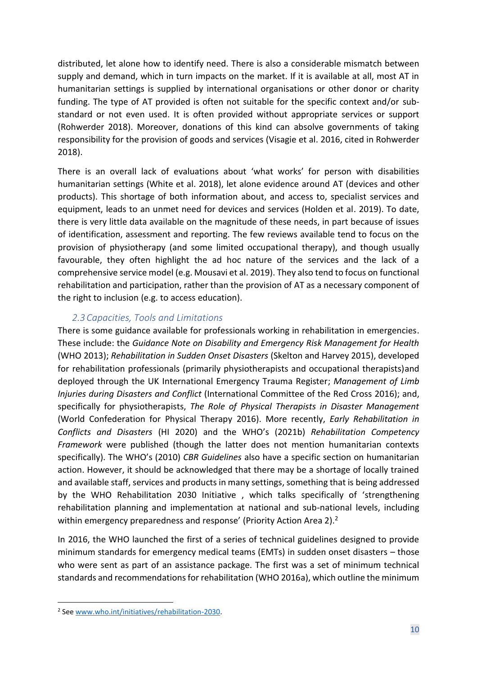distributed, let alone how to identify need. There is also a considerable mismatch between supply and demand, which in turn impacts on the market. If it is available at all, most AT in humanitarian settings is supplied by international organisations or other donor or charity funding. The type of AT provided is often not suitable for the specific context and/or substandard or not even used. It is often provided without appropriate services or support (Rohwerder 2018). Moreover, donations of this kind can absolve governments of taking responsibility for the provision of goods and services (Visagie et al. 2016, cited in Rohwerder 2018).

There is an overall lack of evaluations about 'what works' for person with disabilities humanitarian settings (White et al. 2018), let alone evidence around AT (devices and other products). This shortage of both information about, and access to, specialist services and equipment, leads to an unmet need for devices and services (Holden et al. 2019). To date, there is very little data available on the magnitude of these needs, in part because of issues of identification, assessment and reporting. The few reviews available tend to focus on the provision of physiotherapy (and some limited occupational therapy), and though usually favourable, they often highlight the ad hoc nature of the services and the lack of a comprehensive service model (e.g. Mousavi et al. 2019). They also tend to focus on functional rehabilitation and participation, rather than the provision of AT as a necessary component of the right to inclusion (e.g. to access education).

## *2.3Capacities, Tools and Limitations*

<span id="page-10-0"></span>There is some guidance available for professionals working in rehabilitation in emergencies. These include: the *Guidance Note on Disability and Emergency Risk Management for Health* (WHO 2013); *Rehabilitation in Sudden Onset Disasters* (Skelton and Harvey 2015), developed for rehabilitation professionals (primarily physiotherapists and occupational therapists)and deployed through the UK International Emergency Trauma Register; *Management of Limb Injuries during Disasters and Conflict* (International Committee of the Red Cross 2016); and, specifically for physiotherapists, *The Role of Physical Therapists in Disaster Management* (World Confederation for Physical Therapy 2016). More recently, *Early Rehabilitation in Conflicts and Disasters* (HI 2020) and the WHO's (2021b) *Rehabilitation Competency Framework* were published (though the latter does not mention humanitarian contexts specifically). The WHO's (2010) *CBR Guidelines* also have a specific section on humanitarian action. However, it should be acknowledged that there may be a shortage of locally trained and available staff, services and products in many settings, something that is being addressed by the WHO Rehabilitation 2030 Initiative , which talks specifically of 'strengthening rehabilitation planning and implementation at national and sub-national levels, including within emergency preparedness and response' (Priority Action Area 2).<sup>2</sup>

In 2016, the WHO launched the first of a series of technical guidelines designed to provide minimum standards for emergency medical teams (EMTs) in sudden onset disasters – those who were sent as part of an assistance package. The first was a set of minimum technical standards and recommendations for rehabilitation (WHO 2016a), which outline the minimum

<sup>&</sup>lt;sup>2</sup> See [www.who.int/initiatives/rehabilitation-2030.](https://www.who.int/initiatives/rehabilitation-2030)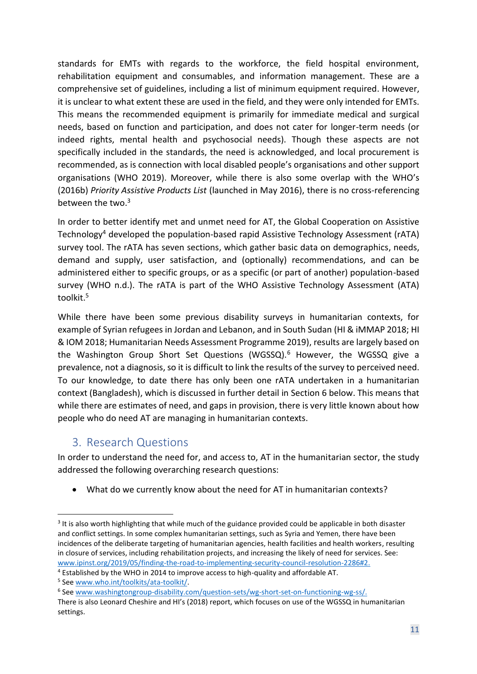standards for EMTs with regards to the workforce, the field hospital environment, rehabilitation equipment and consumables, and information management. These are a comprehensive set of guidelines, including a list of minimum equipment required. However, it is unclear to what extent these are used in the field, and they were only intended for EMTs. This means the recommended equipment is primarily for immediate medical and surgical needs, based on function and participation, and does not cater for longer-term needs (or indeed rights, mental health and psychosocial needs). Though these aspects are not specifically included in the standards, the need is acknowledged, and local procurement is recommended, as is connection with local disabled people's organisations and other support organisations (WHO 2019). Moreover, while there is also some overlap with the WHO's (2016b) *Priority Assistive Products List* (launched in May 2016), there is no cross-referencing between the two. $3$ 

In order to better identify met and unmet need for AT, the Global Cooperation on Assistive Technology<sup>4</sup> developed the population-based rapid Assistive Technology Assessment (rATA) survey tool. The rATA has seven sections, which gather basic data on demographics, needs, demand and supply, user satisfaction, and (optionally) recommendations, and can be administered either to specific groups, or as a specific (or part of another) population-based survey (WHO n.d.). The rATA is part of the WHO Assistive Technology Assessment (ATA) toolkit.<sup>5</sup>

While there have been some previous disability surveys in humanitarian contexts, for example of Syrian refugees in Jordan and Lebanon, and in South Sudan (HI & iMMAP 2018; HI & IOM 2018; Humanitarian Needs Assessment Programme 2019), results are largely based on the Washington Group Short Set Questions (WGSSQ).<sup>6</sup> However, the WGSSQ give a prevalence, not a diagnosis, so it is difficult to link the results of the survey to perceived need. To our knowledge, to date there has only been one rATA undertaken in a humanitarian context (Bangladesh), which is discussed in further detail in Section 6 below. This means that while there are estimates of need, and gaps in provision, there is very little known about how people who do need AT are managing in humanitarian contexts.

# <span id="page-11-0"></span>3. Research Questions

In order to understand the need for, and access to, AT in the humanitarian sector, the study addressed the following overarching research questions:

• What do we currently know about the need for AT in humanitarian contexts?

 $3$  It is also worth highlighting that while much of the guidance provided could be applicable in both disaster and conflict settings. In some complex humanitarian settings, such as Syria and Yemen, there have been incidences of the deliberate targeting of humanitarian agencies, health facilities and health workers, resulting in closure of services, including rehabilitation projects, and increasing the likely of need for services. See: [www.ipinst.org/2019/05/finding-the-road-to-implementing-security-council-resolution-2286#2.](https://www.ipinst.org/2019/05/finding-the-road-to-implementing-security-council-resolution-2286#2)

<sup>4</sup> Established by the WHO in 2014 to improve access to high-quality and affordable AT.

<sup>&</sup>lt;sup>5</sup> See [www.who.int/toolkits/ata-toolkit/.](http://www.who.int/toolkits/ata-toolkit/)

<sup>6</sup> See [www.washingtongroup-disability.com/question-sets/wg-short-set-on-functioning-wg-ss/.](https://www.washingtongroup-disability.com/question-sets/wg-short-set-on-functioning-wg-ss/)

There is also Leonard Cheshire and HI's (2018) report, which focuses on use of the WGSSQ in humanitarian settings.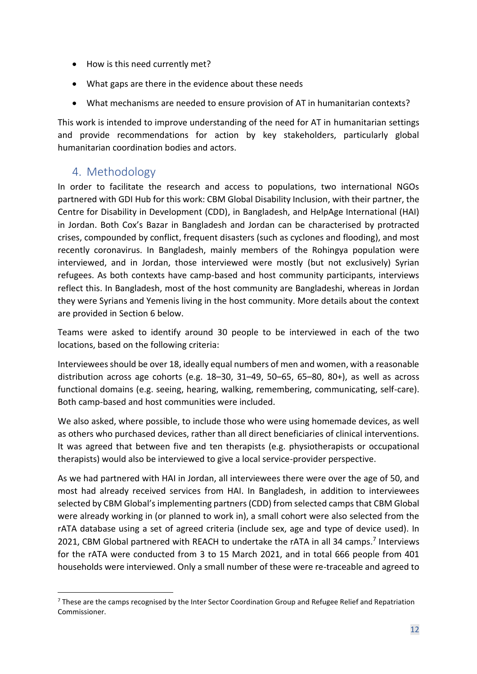- How is this need currently met?
- What gaps are there in the evidence about these needs
- What mechanisms are needed to ensure provision of AT in humanitarian contexts?

This work is intended to improve understanding of the need for AT in humanitarian settings and provide recommendations for action by key stakeholders, particularly global humanitarian coordination bodies and actors.

## <span id="page-12-0"></span>4. Methodology

In order to facilitate the research and access to populations, two international NGOs partnered with GDI Hub for this work: CBM Global Disability Inclusion, with their partner, the Centre for Disability in Development (CDD), in Bangladesh, and HelpAge International (HAI) in Jordan. Both Cox's Bazar in Bangladesh and Jordan can be characterised by protracted crises, compounded by conflict, frequent disasters (such as cyclones and flooding), and most recently coronavirus. In Bangladesh, mainly members of the Rohingya population were interviewed, and in Jordan, those interviewed were mostly (but not exclusively) Syrian refugees. As both contexts have camp-based and host community participants, interviews reflect this. In Bangladesh, most of the host community are Bangladeshi, whereas in Jordan they were Syrians and Yemenis living in the host community. More details about the context are provided in Section 6 below.

Teams were asked to identify around 30 people to be interviewed in each of the two locations, based on the following criteria:

Interviewees should be over 18, ideally equal numbers of men and women, with a reasonable distribution across age cohorts (e.g. 18–30, 31–49, 50–65, 65–80, 80+), as well as across functional domains (e.g. seeing, hearing, walking, remembering, communicating, self-care). Both camp-based and host communities were included.

We also asked, where possible, to include those who were using homemade devices, as well as others who purchased devices, rather than all direct beneficiaries of clinical interventions. It was agreed that between five and ten therapists (e.g. physiotherapists or occupational therapists) would also be interviewed to give a local service-provider perspective.

As we had partnered with HAI in Jordan, all interviewees there were over the age of 50, and most had already received services from HAI. In Bangladesh, in addition to interviewees selected by CBM Global'simplementing partners (CDD) from selected camps that CBM Global were already working in (or planned to work in), a small cohort were also selected from the rATA database using a set of agreed criteria (include sex, age and type of device used). In 2021, CBM Global partnered with REACH to undertake the rATA in all 34 camps.<sup>7</sup> Interviews for the rATA were conducted from 3 to 15 March 2021, and in total 666 people from 401 households were interviewed. Only a small number of these were re-traceable and agreed to

 $7$  These are the camps recognised by the Inter Sector Coordination Group and Refugee Relief and Repatriation Commissioner.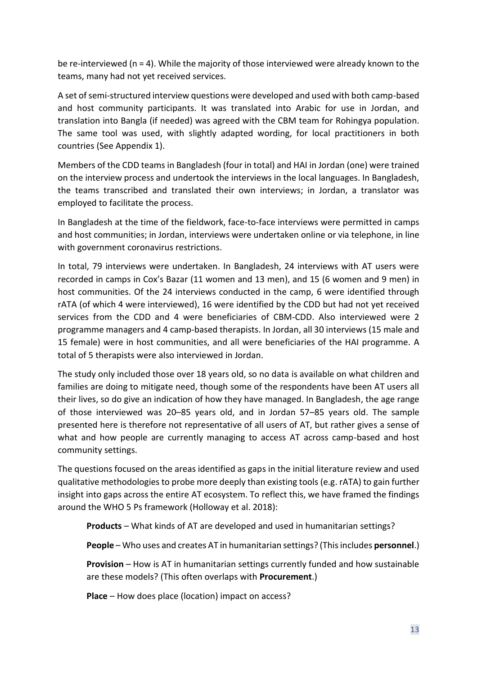be re-interviewed (n = 4). While the majority of those interviewed were already known to the teams, many had not yet received services.

A set of semi-structured interview questions were developed and used with both camp-based and host community participants. It was translated into Arabic for use in Jordan, and translation into Bangla (if needed) was agreed with the CBM team for Rohingya population. The same tool was used, with slightly adapted wording, for local practitioners in both countries (See Appendix 1).

Members of the CDD teams in Bangladesh (four in total) and HAI in Jordan (one) were trained on the interview process and undertook the interviews in the local languages. In Bangladesh, the teams transcribed and translated their own interviews; in Jordan, a translator was employed to facilitate the process.

In Bangladesh at the time of the fieldwork, face-to-face interviews were permitted in camps and host communities; in Jordan, interviews were undertaken online or via telephone, in line with government coronavirus restrictions.

In total, 79 interviews were undertaken. In Bangladesh, 24 interviews with AT users were recorded in camps in Cox's Bazar (11 women and 13 men), and 15 (6 women and 9 men) in host communities. Of the 24 interviews conducted in the camp, 6 were identified through rATA (of which 4 were interviewed), 16 were identified by the CDD but had not yet received services from the CDD and 4 were beneficiaries of CBM-CDD. Also interviewed were 2 programme managers and 4 camp-based therapists. In Jordan, all 30 interviews (15 male and 15 female) were in host communities, and all were beneficiaries of the HAI programme. A total of 5 therapists were also interviewed in Jordan.

The study only included those over 18 years old, so no data is available on what children and families are doing to mitigate need, though some of the respondents have been AT users all their lives, so do give an indication of how they have managed. In Bangladesh, the age range of those interviewed was 20–85 years old, and in Jordan 57–85 years old. The sample presented here is therefore not representative of all users of AT, but rather gives a sense of what and how people are currently managing to access AT across camp-based and host community settings.

The questions focused on the areas identified as gaps in the initial literature review and used qualitative methodologies to probe more deeply than existing tools (e.g. rATA) to gain further insight into gaps across the entire AT ecosystem. To reflect this, we have framed the findings around the WHO 5 Ps framework (Holloway et al. 2018):

**Products** – What kinds of AT are developed and used in humanitarian settings?

**People** – Who uses and creates AT in humanitarian settings? (This includes **personnel**.)

**Provision** – How is AT in humanitarian settings currently funded and how sustainable are these models? (This often overlaps with **Procurement**.)

**Place** – How does place (location) impact on access?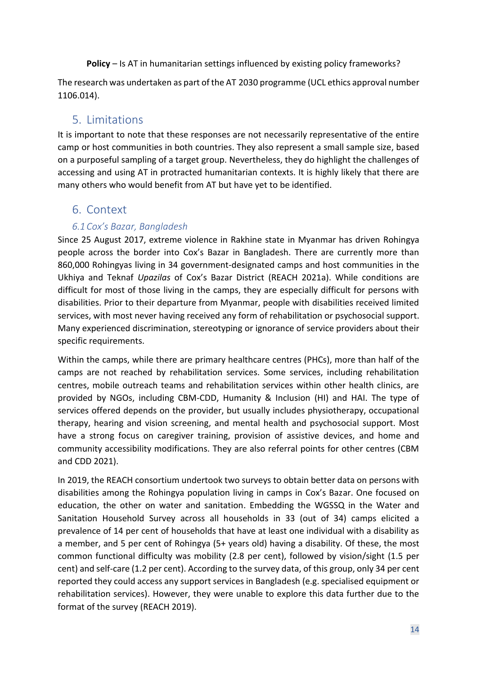**Policy** – Is AT in humanitarian settings influenced by existing policy frameworks?

The research was undertaken as part of the AT 2030 programme (UCL ethics approval number 1106.014).

# <span id="page-14-0"></span>5. Limitations

It is important to note that these responses are not necessarily representative of the entire camp or host communities in both countries. They also represent a small sample size, based on a purposeful sampling of a target group. Nevertheless, they do highlight the challenges of accessing and using AT in protracted humanitarian contexts. It is highly likely that there are many others who would benefit from AT but have yet to be identified.

## <span id="page-14-1"></span>6. Context

## *6.1Cox's Bazar, Bangladesh*

<span id="page-14-2"></span>Since 25 August 2017, extreme violence in Rakhine state in Myanmar has driven Rohingya people across the border into Cox's Bazar in Bangladesh. There are currently more than 860,000 Rohingyas living in 34 government-designated camps and host communities in the Ukhiya and Teknaf *Upazilas* of Cox's Bazar District (REACH 2021a). While conditions are difficult for most of those living in the camps, they are especially difficult for persons with disabilities. Prior to their departure from Myanmar, people with disabilities received limited services, with most never having received any form of rehabilitation or psychosocial support. Many experienced discrimination, stereotyping or ignorance of service providers about their specific requirements.

Within the camps, while there are primary healthcare centres (PHCs), more than half of the camps are not reached by rehabilitation services. Some services, including rehabilitation centres, mobile outreach teams and rehabilitation services within other health clinics, are provided by NGOs, including CBM-CDD, Humanity & Inclusion (HI) and HAI. The type of services offered depends on the provider, but usually includes physiotherapy, occupational therapy, hearing and vision screening, and mental health and psychosocial support. Most have a strong focus on caregiver training, provision of assistive devices, and home and community accessibility modifications. They are also referral points for other centres (CBM and CDD 2021).

In 2019, the REACH consortium undertook two surveys to obtain better data on persons with disabilities among the Rohingya population living in camps in Cox's Bazar. One focused on education, the other on water and sanitation. Embedding the WGSSQ in the Water and Sanitation Household Survey across all households in 33 (out of 34) camps elicited a prevalence of 14 per cent of households that have at least one individual with a disability as a member, and 5 per cent of Rohingya (5+ years old) having a disability. Of these, the most common functional difficulty was mobility (2.8 per cent), followed by vision/sight (1.5 per cent) and self-care (1.2 per cent). According to the survey data, of this group, only 34 per cent reported they could access any support services in Bangladesh (e.g. specialised equipment or rehabilitation services). However, they were unable to explore this data further due to the format of the survey (REACH 2019).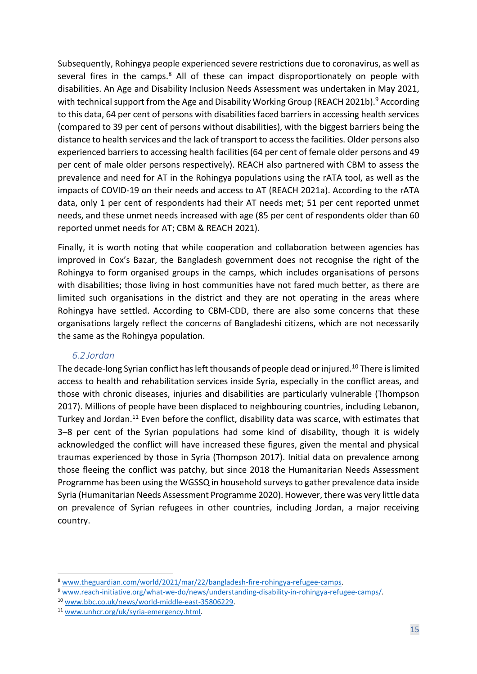Subsequently, Rohingya people experienced severe restrictions due to coronavirus, as well as several fires in the camps. $8$  All of these can impact disproportionately on people with disabilities. An Age and Disability Inclusion Needs Assessment was undertaken in May 2021, with technical support from the Age and Disability Working Group (REACH 2021b).<sup>9</sup> According to this data, 64 per cent of persons with disabilities faced barriers in accessing health services (compared to 39 per cent of persons without disabilities), with the biggest barriers being the distance to health services and the lack of transport to access the facilities. Older persons also experienced barriers to accessing health facilities (64 per cent of female older persons and 49 per cent of male older persons respectively). REACH also partnered with CBM to assess the prevalence and need for AT in the Rohingya populations using the rATA tool, as well as the impacts of COVID-19 on their needs and access to AT (REACH 2021a). According to the rATA data, only 1 per cent of respondents had their AT needs met; 51 per cent reported unmet needs, and these unmet needs increased with age (85 per cent of respondents older than 60 reported unmet needs for AT; CBM & REACH 2021).

Finally, it is worth noting that while cooperation and collaboration between agencies has improved in Cox's Bazar, the Bangladesh government does not recognise the right of the Rohingya to form organised groups in the camps, which includes organisations of persons with disabilities; those living in host communities have not fared much better, as there are limited such organisations in the district and they are not operating in the areas where Rohingya have settled. According to CBM-CDD, there are also some concerns that these organisations largely reflect the concerns of Bangladeshi citizens, which are not necessarily the same as the Rohingya population.

#### *6.2 Jordan*

<span id="page-15-0"></span>The decade-long Syrian conflict has left thousands of people dead or injured.<sup>10</sup> There is limited access to health and rehabilitation services inside Syria, especially in the conflict areas, and those with chronic diseases, injuries and disabilities are particularly vulnerable (Thompson 2017). Millions of people have been displaced to neighbouring countries, including Lebanon, Turkey and Jordan.<sup>11</sup> Even before the conflict, disability data was scarce, with estimates that 3–8 per cent of the Syrian populations had some kind of disability, though it is widely acknowledged the conflict will have increased these figures, given the mental and physical traumas experienced by those in Syria (Thompson 2017). Initial data on prevalence among those fleeing the conflict was patchy, but since 2018 the Humanitarian Needs Assessment Programme has been using the WGSSQ in household surveys to gather prevalence data inside Syria (Humanitarian Needs Assessment Programme 2020). However, there was very little data on prevalence of Syrian refugees in other countries, including Jordan, a major receiving country.

<sup>8</sup> [www.theguardian.com/world/2021/mar/22/bangladesh-fire-rohingya-refugee-camps.](https://www.theguardian.com/world/2021/mar/22/bangladesh-fire-rohingya-refugee-camps)

<sup>9</sup> [www.reach-initiative.org/what-we-do/news/understanding-disability-in-rohingya-refugee-camps/.](https://www.reach-initiative.org/what-we-do/news/understanding-disability-in-rohingya-refugee-camps/)

<sup>10</sup> [www.bbc.co.uk/news/world-middle-east-35806229.](https://www.bbc.co.uk/news/world-middle-east-35806229)

<sup>11</sup> [www.unhcr.org/uk/syria-emergency.html.](http://www.unhcr.org/uk/syria-emergency.html)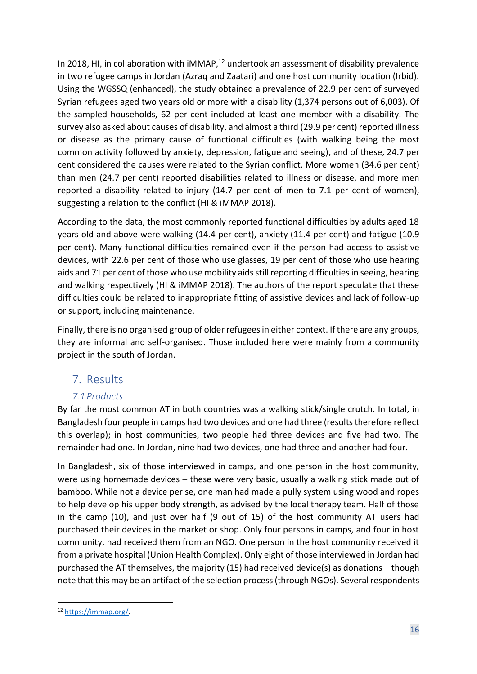In 2018, HI, in collaboration with  $IMMAP<sub>12</sub>$  undertook an assessment of disability prevalence in two refugee camps in Jordan (Azraq and Zaatari) and one host community location (Irbid). Using the WGSSQ (enhanced), the study obtained a prevalence of 22.9 per cent of surveyed Syrian refugees aged two years old or more with a disability (1,374 persons out of 6,003). Of the sampled households, 62 per cent included at least one member with a disability. The survey also asked about causes of disability, and almost a third (29.9 per cent) reported illness or disease as the primary cause of functional difficulties (with walking being the most common activity followed by anxiety, depression, fatigue and seeing), and of these, 24.7 per cent considered the causes were related to the Syrian conflict. More women (34.6 per cent) than men (24.7 per cent) reported disabilities related to illness or disease, and more men reported a disability related to injury (14.7 per cent of men to 7.1 per cent of women), suggesting a relation to the conflict (HI & iMMAP 2018).

According to the data, the most commonly reported functional difficulties by adults aged 18 years old and above were walking (14.4 per cent), anxiety (11.4 per cent) and fatigue (10.9 per cent). Many functional difficulties remained even if the person had access to assistive devices, with 22.6 per cent of those who use glasses, 19 per cent of those who use hearing aids and 71 per cent of those who use mobility aids still reporting difficulties in seeing, hearing and walking respectively (HI & iMMAP 2018). The authors of the report speculate that these difficulties could be related to inappropriate fitting of assistive devices and lack of follow-up or support, including maintenance.

Finally, there is no organised group of older refugees in either context. If there are any groups, they are informal and self-organised. Those included here were mainly from a community project in the south of Jordan.

# <span id="page-16-0"></span>7. Results

## *7.1 Products*

<span id="page-16-1"></span>By far the most common AT in both countries was a walking stick/single crutch. In total, in Bangladesh four people in camps had two devices and one had three (results therefore reflect this overlap); in host communities, two people had three devices and five had two. The remainder had one. In Jordan, nine had two devices, one had three and another had four.

In Bangladesh, six of those interviewed in camps, and one person in the host community, were using homemade devices – these were very basic, usually a walking stick made out of bamboo. While not a device per se, one man had made a pully system using wood and ropes to help develop his upper body strength, as advised by the local therapy team. Half of those in the camp (10), and just over half (9 out of 15) of the host community AT users had purchased their devices in the market or shop. Only four persons in camps, and four in host community, had received them from an NGO. One person in the host community received it from a private hospital (Union Health Complex). Only eight of those interviewed in Jordan had purchased the AT themselves, the majority (15) had received device(s) as donations – though note that this may be an artifact of the selection process (through NGOs). Several respondents

<sup>12</sup> [https://immap.org/.](https://immap.org/)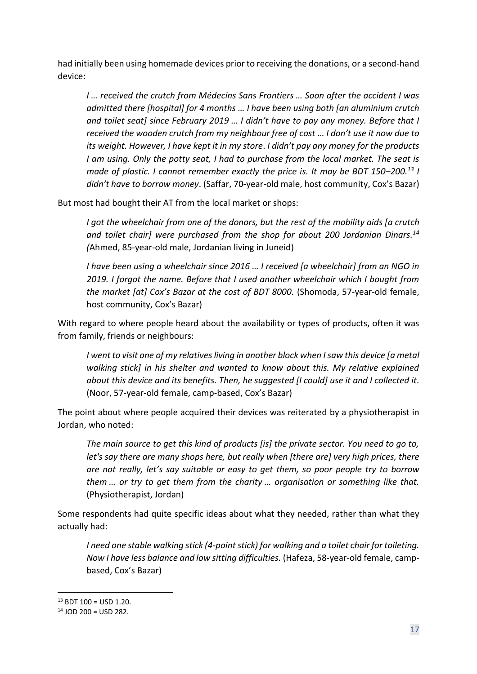had initially been using homemade devices prior to receiving the donations, or a second-hand device:

*I … received the crutch from Médecins Sans Frontiers … Soon after the accident I was admitted there [hospital] for 4 months … I have been using both [an aluminium crutch and toilet seat] since February 2019 … I didn't have to pay any money. Before that I received the wooden crutch from my neighbour free of cost … I don't use it now due to its weight. However, I have kept it in my store*. *I didn't pay any money for the products I am using. Only the potty seat, I had to purchase from the local market. The seat is made of plastic. I cannot remember exactly the price is. It may be BDT 150–200.<sup>13</sup> I didn't have to borrow money*. (Saffar, 70-year-old male, host community, Cox's Bazar)

But most had bought their AT from the local market or shops:

*I got the wheelchair from one of the donors, but the rest of the mobility aids [a crutch and toilet chair] were purchased from the shop for about 200 Jordanian Dinars. 14 (*Ahmed, 85-year-old male, Jordanian living in Juneid)

*I have been using a wheelchair since 2016 … I received [a wheelchair] from an NGO in 2019. I forgot the name. Before that I used another wheelchair which I bought from the market [at] Cox's Bazar at the cost of BDT 8000.* (Shomoda, 57-year-old female, host community, Cox's Bazar)

With regard to where people heard about the availability or types of products, often it was from family, friends or neighbours:

*I* went to visit one of my relatives living in another block when I saw this device [a metal *walking stick] in his shelter and wanted to know about this. My relative explained about this device and its benefits. Then, he suggested [I could] use it and I collected it.* (Noor, 57-year-old female, camp-based, Cox's Bazar)

The point about where people acquired their devices was reiterated by a physiotherapist in Jordan, who noted:

*The main source to get this kind of products [is] the private sector. You need to go to, let's say there are many shops here, but really when [there are] very high prices, there are not really, let's say suitable or easy to get them, so poor people try to borrow them … or try to get them from the charity … organisation or something like that.*  (Physiotherapist, Jordan)

Some respondents had quite specific ideas about what they needed, rather than what they actually had:

*I need one stable walking stick (4-point stick) for walking and a toilet chair for toileting. Now I have less balance and low sitting difficulties.* (Hafeza, 58-year-old female, campbased, Cox's Bazar)

 $13$  BDT 100 = USD 1.20.

 $14$  JOD 200 = USD 282.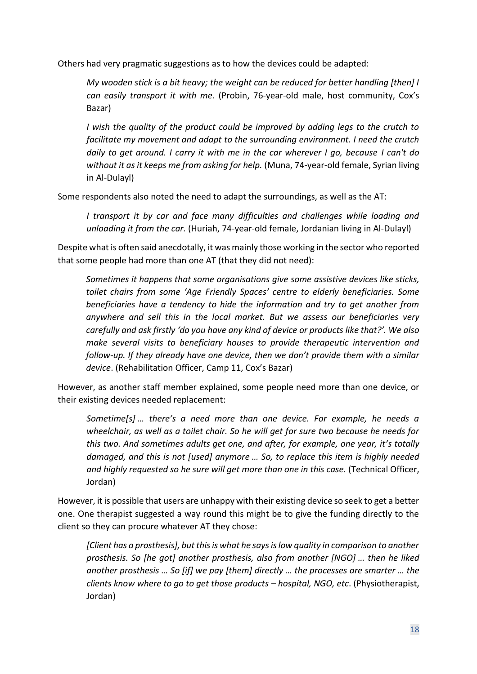Others had very pragmatic suggestions as to how the devices could be adapted:

*My wooden stick is a bit heavy; the weight can be reduced for better handling [then] I can easily transport it with me*. (Probin, 76-year-old male, host community, Cox's Bazar)

*I wish the quality of the product could be improved by adding legs to the crutch to facilitate my movement and adapt to the surrounding environment. I need the crutch daily to get around. I carry it with me in the car wherever I go, because I can't do without it as it keeps me from asking for help.* (Muna, 74-year-old female, Syrian living in Al-Dulayl)

Some respondents also noted the need to adapt the surroundings, as well as the AT:

*I transport it by car and face many difficulties and challenges while loading and unloading it from the car.* (Huriah, 74-year-old female, Jordanian living in Al-Dulayl)

Despite what is often said anecdotally, it was mainly those working in the sector who reported that some people had more than one AT (that they did not need):

*Sometimes it happens that some organisations give some assistive devices like sticks, toilet chairs from some 'Age Friendly Spaces' centre to elderly beneficiaries. Some beneficiaries have a tendency to hide the information and try to get another from anywhere and sell this in the local market. But we assess our beneficiaries very carefully and ask firstly 'do you have any kind of device or products like that?'. We also make several visits to beneficiary houses to provide therapeutic intervention and follow-up. If they already have one device, then we don't provide them with a similar device*. (Rehabilitation Officer, Camp 11, Cox's Bazar)

However, as another staff member explained, some people need more than one device, or their existing devices needed replacement:

*Sometime[s] … there's a need more than one device. For example, he needs a wheelchair, as well as a toilet chair. So he will get for sure two because he needs for this two. And sometimes adults get one, and after, for example, one year, it's totally damaged, and this is not [used] anymore … So, to replace this item is highly needed and highly requested so he sure will get more than one in this case.* (Technical Officer, Jordan)

However, it is possible that users are unhappy with their existing device so seek to get a better one. One therapist suggested a way round this might be to give the funding directly to the client so they can procure whatever AT they chose:

*[Client has a prosthesis], but this is what he says is low quality in comparison to another prosthesis. So [he got] another prosthesis, also from another [NGO] … then he liked another prosthesis … So [if] we pay [them] directly … the processes are smarter … the clients know where to go to get those products – hospital, NGO, etc*. (Physiotherapist, Jordan)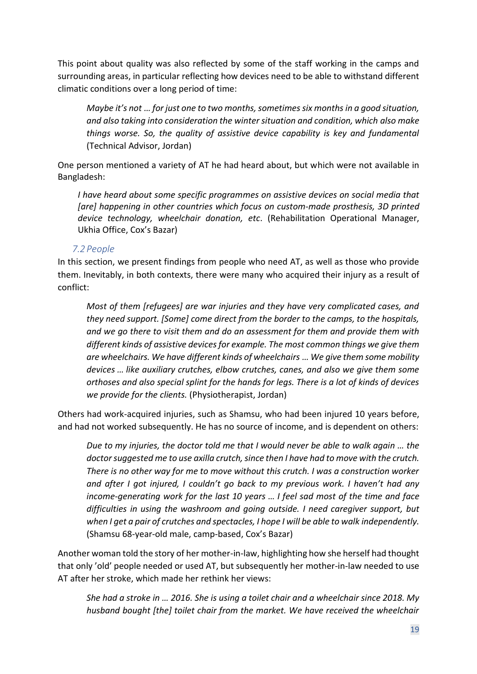This point about quality was also reflected by some of the staff working in the camps and surrounding areas, in particular reflecting how devices need to be able to withstand different climatic conditions over a long period of time:

*Maybe it's not … for just one to two months, sometimes six months in a good situation, and also taking into consideration the winter situation and condition, which also make things worse. So, the quality of assistive device capability is key and fundamental* (Technical Advisor, Jordan)

One person mentioned a variety of AT he had heard about, but which were not available in Bangladesh:

*I have heard about some specific programmes on assistive devices on social media that [are] happening in other countries which focus on custom-made prosthesis, 3D printed device technology, wheelchair donation, etc*. (Rehabilitation Operational Manager, Ukhia Office, Cox's Bazar)

#### *7.2 People*

<span id="page-19-0"></span>In this section, we present findings from people who need AT, as well as those who provide them. Inevitably, in both contexts, there were many who acquired their injury as a result of conflict:

*Most of them [refugees] are war injuries and they have very complicated cases, and they need support. [Some] come direct from the border to the camps, to the hospitals, and we go there to visit them and do an assessment for them and provide them with different kinds of assistive devices for example. The most common things we give them are wheelchairs. We have different kinds of wheelchairs … We give them some mobility devices … like auxiliary crutches, elbow crutches, canes, and also we give them some orthoses and also special splint for the hands for legs. There is a lot of kinds of devices we provide for the clients.* (Physiotherapist, Jordan)

Others had work-acquired injuries, such as Shamsu, who had been injured 10 years before, and had not worked subsequently. He has no source of income, and is dependent on others:

*Due to my injuries, the doctor told me that I would never be able to walk again … the doctor suggested me to use axilla crutch, since then I have had to move with the crutch. There is no other way for me to move without this crutch. I was a construction worker and after I got injured, I couldn't go back to my previous work. I haven't had any income-generating work for the last 10 years* … *I feel sad most of the time and face difficulties in using the washroom and going outside. I need caregiver support, but when I get a pair of crutches and spectacles, I hope I will be able to walk independently.* (Shamsu 68-year-old male, camp-based, Cox's Bazar)

Another woman told the story of her mother-in-law, highlighting how she herself had thought that only 'old' people needed or used AT, but subsequently her mother-in-law needed to use AT after her stroke, which made her rethink her views:

*She had a stroke in … 2016. She is using a toilet chair and a wheelchair since 2018. My husband bought [the] toilet chair from the market. We have received the wheelchair*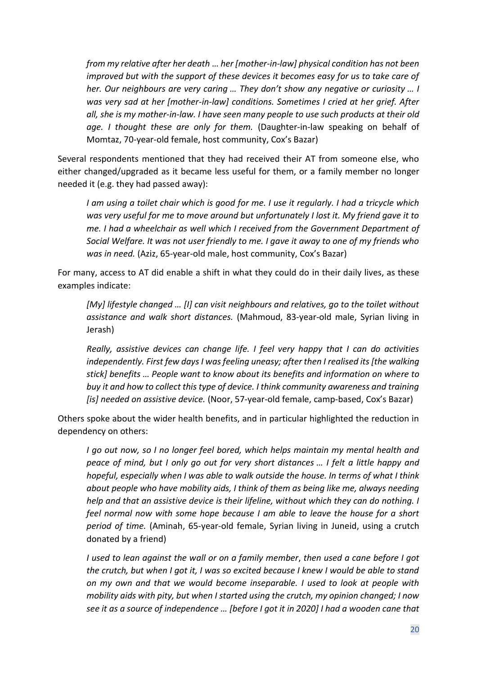*from my relative after her death … her [mother-in-law] physical condition has not been improved but with the support of these devices it becomes easy for us to take care of her. Our neighbours are very caring … They don't show any negative or curiosity … I was very sad at her [mother-in-law] conditions. Sometimes I cried at her grief. After all, she is my mother-in-law. I have seen many people to use such products at their old age. I thought these are only for them.* (Daughter-in-law speaking on behalf of Momtaz, 70-year-old female, host community, Cox's Bazar)

Several respondents mentioned that they had received their AT from someone else, who either changed/upgraded as it became less useful for them, or a family member no longer needed it (e.g. they had passed away):

*I am using a toilet chair which is good for me. I use it regularly. I had a tricycle which was very useful for me to move around but unfortunately I lost it. My friend gave it to me. I had a wheelchair as well which I received from the Government Department of Social Welfare. It was not user friendly to me. I gave it away to one of my friends who was in need.* (Aziz, 65-year-old male, host community, Cox's Bazar)

For many, access to AT did enable a shift in what they could do in their daily lives, as these examples indicate:

*[My] lifestyle changed … [I] can visit neighbours and relatives, go to the toilet without assistance and walk short distances.* (Mahmoud, 83-year-old male, Syrian living in Jerash)

*Really, assistive devices can change life. I feel very happy that I can do activities independently. First few days I was feeling uneasy; after then I realised its[the walking stick] benefits … People want to know about its benefits and information on where to buy it and how to collect this type of device. I think community awareness and training [is] needed on assistive device.* (Noor, 57-year-old female, camp-based, Cox's Bazar)

Others spoke about the wider health benefits, and in particular highlighted the reduction in dependency on others:

*I go out now, so I no longer feel bored, which helps maintain my mental health and peace of mind, but I only go out for very short distances … I felt a little happy and hopeful, especially when I was able to walk outside the house. In terms of what I think about people who have mobility aids, I think of them as being like me, always needing help and that an assistive device is their lifeline, without which they can do nothing. I feel normal now with some hope because I am able to leave the house for a short period of time.* (Aminah, 65-year-old female, Syrian living in Juneid, using a crutch donated by a friend)

*I used to lean against the wall or on a family member*, *then used a cane before I got the crutch, but when I got it, I was so excited because I knew I would be able to stand on my own and that we would become inseparable. I used to look at people with mobility aids with pity, but when I started using the crutch, my opinion changed; I now see it as a source of independence … [before I got it in 2020] I had a wooden cane that*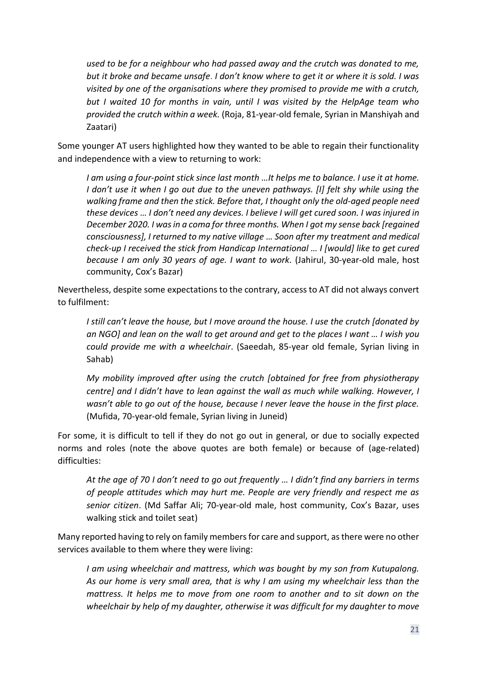*used to be for a neighbour who had passed away and the crutch was donated to me, but it broke and became unsafe*. *I don't know where to get it or where it is sold. I was visited by one of the organisations where they promised to provide me with a crutch, but I waited 10 for months in vain, until I was visited by the HelpAge team who provided the crutch within a week.* (Roja, 81-year-old female, Syrian in Manshiyah and Zaatari)

Some younger AT users highlighted how they wanted to be able to regain their functionality and independence with a view to returning to work:

*I am using a four-point stick since last month …It helps me to balance. I use it at home. I don't use it when I go out due to the uneven pathways. [I] felt shy while using the walking frame and then the stick. Before that, I thought only the old-aged people need these devices … I don't need any devices. I believe I will get cured soon. I was injured in December 2020. I was in a coma for three months. When I got my sense back [regained consciousness], I returned to my native village … Soon after my treatment and medical check-up I received the stick from Handicap International … I [would] like to get cured because I am only 30 years of age. I want to work.* (Jahirul, 30-year-old male, host community, Cox's Bazar)

Nevertheless, despite some expectations to the contrary, access to AT did not always convert to fulfilment:

*I still can't leave the house, but I move around the house. I use the crutch [donated by an NGO] and lean on the wall to get around and get to the places I want … I wish you could provide me with a wheelchair*. (Saeedah, 85-year old female, Syrian living in Sahab)

*My mobility improved after using the crutch [obtained for free from physiotherapy centre] and I didn't have to lean against the wall as much while walking. However, I wasn't able to go out of the house, because I never leave the house in the first place.*  (Mufida, 70-year-old female, Syrian living in Juneid)

For some, it is difficult to tell if they do not go out in general, or due to socially expected norms and roles (note the above quotes are both female) or because of (age-related) difficulties:

*At the age of 70 I don't need to go out frequently … I didn't find any barriers in terms of people attitudes which may hurt me. People are very friendly and respect me as senior citizen*. (Md Saffar Ali; 70-year-old male, host community, Cox's Bazar, uses walking stick and toilet seat)

Many reported having to rely on family members for care and support, as there were no other services available to them where they were living:

*I am using wheelchair and mattress, which was bought by my son from Kutupalong. As our home is very small area, that is why I am using my wheelchair less than the mattress. It helps me to move from one room to another and to sit down on the wheelchair by help of my daughter, otherwise it was difficult for my daughter to move*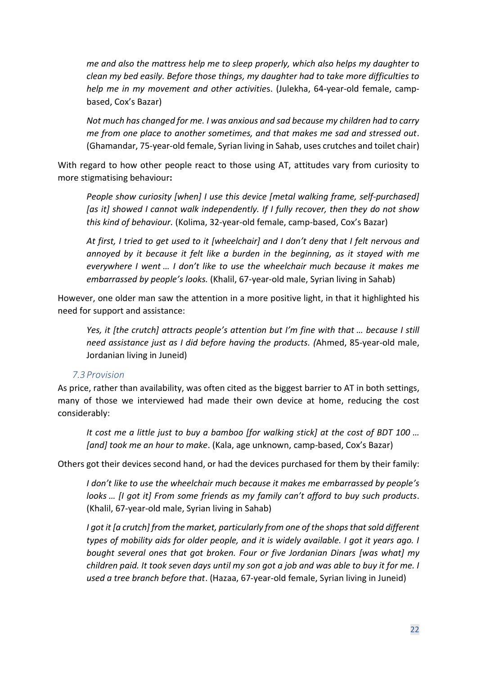*me and also the mattress help me to sleep properly, which also helps my daughter to clean my bed easily. Before those things, my daughter had to take more difficulties to help me in my movement and other activitie*s. (Julekha, 64-year-old female, campbased, Cox's Bazar)

*Not much has changed for me. I was anxious and sad because my children had to carry me from one place to another sometimes, and that makes me sad and stressed out*. (Ghamandar, 75-year-old female, Syrian living in Sahab, uses crutches and toilet chair)

With regard to how other people react to those using AT, attitudes vary from curiosity to more stigmatising behaviour**:**

*People show curiosity [when] I use this device [metal walking frame, self-purchased] [as it] showed I cannot walk independently. If I fully recover, then they do not show this kind of behaviour.* (Kolima, 32-year-old female, camp-based, Cox's Bazar)

*At first, I tried to get used to it [wheelchair] and I don't deny that I felt nervous and annoyed by it because it felt like a burden in the beginning, as it stayed with me everywhere I went … I don't like to use the wheelchair much because it makes me embarrassed by people's looks.* (Khalil, 67-year-old male, Syrian living in Sahab)

However, one older man saw the attention in a more positive light, in that it highlighted his need for support and assistance:

*Yes, it [the crutch] attracts people's attention but I'm fine with that … because I still need assistance just as I did before having the products. (*Ahmed, 85-year-old male, Jordanian living in Juneid)

#### *7.3 Provision*

<span id="page-22-0"></span>As price, rather than availability, was often cited as the biggest barrier to AT in both settings, many of those we interviewed had made their own device at home, reducing the cost considerably:

*It cost me a little just to buy a bamboo [for walking stick] at the cost of BDT 100 … [and] took me an hour to make*. (Kala, age unknown, camp-based, Cox's Bazar)

Others got their devices second hand, or had the devices purchased for them by their family:

*I don't like to use the wheelchair much because it makes me embarrassed by people's looks … [I got it] From some friends as my family can't afford to buy such products*. (Khalil, 67-year-old male, Syrian living in Sahab)

*I got it [a crutch] from the market, particularly from one of the shops that sold different types of mobility aids for older people, and it is widely available. I got it years ago. I bought several ones that got broken. Four or five Jordanian Dinars [was what] my children paid. It took seven days until my son got a job and was able to buy it for me. I used a tree branch before that*. (Hazaa, 67-year-old female, Syrian living in Juneid)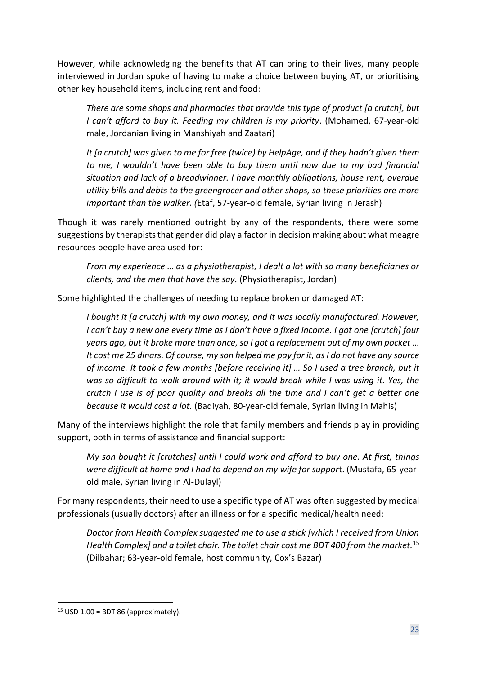However, while acknowledging the benefits that AT can bring to their lives, many people interviewed in Jordan spoke of having to make a choice between buying AT, or prioritising other key household items, including rent and food:

*There are some shops and pharmacies that provide this type of product [a crutch], but I can't afford to buy it. Feeding my children is my priority*. (Mohamed, 67-year-old male, Jordanian living in Manshiyah and Zaatari)

*It [a crutch] was given to me for free (twice) by HelpAge, and if they hadn't given them to me, I wouldn't have been able to buy them until now due to my bad financial situation and lack of a breadwinner. I have monthly obligations, house rent, overdue utility bills and debts to the greengrocer and other shops, so these priorities are more important than the walker. (*Etaf, 57-year-old female, Syrian living in Jerash)

Though it was rarely mentioned outright by any of the respondents, there were some suggestions by therapists that gender did play a factor in decision making about what meagre resources people have area used for:

*From my experience … as a physiotherapist, I dealt a lot with so many beneficiaries or clients, and the men that have the say.* (Physiotherapist, Jordan)

Some highlighted the challenges of needing to replace broken or damaged AT:

*I bought it [a crutch] with my own money, and it was locally manufactured. However, I can't buy a new one every time as I don't have a fixed income. I got one [crutch] four years ago, but it broke more than once, so I got a replacement out of my own pocket … It cost me 25 dinars. Of course, my son helped me pay for it, as I do not have any source of income. It took a few months [before receiving it] … So I used a tree branch, but it was so difficult to walk around with it; it would break while I was using it. Yes, the crutch I use is of poor quality and breaks all the time and I can't get a better one because it would cost a lot.* (Badiyah, 80-year-old female, Syrian living in Mahis)

Many of the interviews highlight the role that family members and friends play in providing support, both in terms of assistance and financial support:

*My son bought it [crutches] until I could work and afford to buy one. At first, things were difficult at home and I had to depend on my wife for suppor*t. (Mustafa, 65-yearold male, Syrian living in Al-Dulayl)

For many respondents, their need to use a specific type of AT was often suggested by medical professionals (usually doctors) after an illness or for a specific medical/health need:

*Doctor from Health Complex suggested me to use a stick [which I received from Union Health Complex] and a toilet chair. The toilet chair cost me BDT 400 from the market.*<sup>15</sup> (Dilbahar; 63-year-old female, host community, Cox's Bazar)

 $15$  USD 1.00 = BDT 86 (approximately).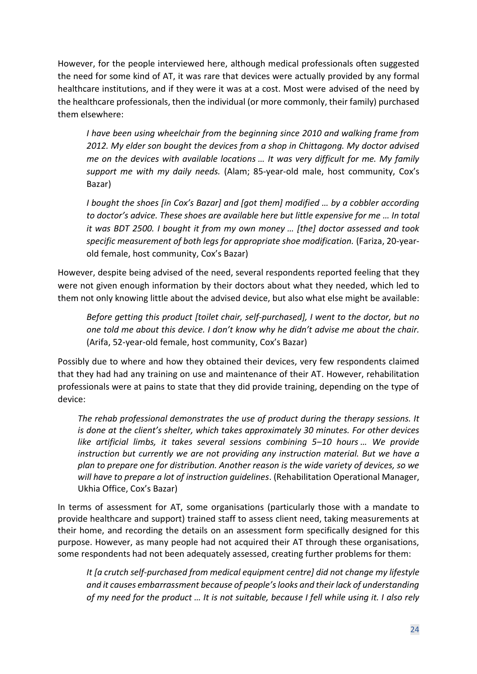However, for the people interviewed here, although medical professionals often suggested the need for some kind of AT, it was rare that devices were actually provided by any formal healthcare institutions, and if they were it was at a cost. Most were advised of the need by the healthcare professionals, then the individual (or more commonly, their family) purchased them elsewhere:

*I have been using wheelchair from the beginning since 2010 and walking frame from 2012. My elder son bought the devices from a shop in Chittagong. My doctor advised me on the devices with available locations … It was very difficult for me. My family support me with my daily needs.* (Alam; 85-year-old male, host community, Cox's Bazar)

*I bought the shoes [in Cox's Bazar] and [got them] modified … by a cobbler according to doctor's advice. These shoes are available here but little expensive for me … In total it was BDT 2500. I bought it from my own money … [the] doctor assessed and took specific measurement of both legs for appropriate shoe modification.* (Fariza, 20-yearold female, host community, Cox's Bazar)

However, despite being advised of the need, several respondents reported feeling that they were not given enough information by their doctors about what they needed, which led to them not only knowing little about the advised device, but also what else might be available:

*Before getting this product [toilet chair, self-purchased], I went to the doctor, but no one told me about this device. I don't know why he didn't advise me about the chair.* (Arifa, 52-year-old female, host community, Cox's Bazar)

Possibly due to where and how they obtained their devices, very few respondents claimed that they had had any training on use and maintenance of their AT. However, rehabilitation professionals were at pains to state that they did provide training, depending on the type of device:

*The rehab professional demonstrates the use of product during the therapy sessions. It is done at the client's shelter, which takes approximately 30 minutes. For other devices like artificial limbs, it takes several sessions combining 5–10 hours … We provide instruction but currently we are not providing any instruction material. But we have a plan to prepare one for distribution. Another reason is the wide variety of devices, so we will have to prepare a lot of instruction guidelines*. (Rehabilitation Operational Manager, Ukhia Office, Cox's Bazar)

In terms of assessment for AT, some organisations (particularly those with a mandate to provide healthcare and support) trained staff to assess client need, taking measurements at their home, and recording the details on an assessment form specifically designed for this purpose. However, as many people had not acquired their AT through these organisations, some respondents had not been adequately assessed, creating further problems for them:

*It [a crutch self-purchased from medical equipment centre] did not change my lifestyle and it causes embarrassment because of people's looks and their lack of understanding of my need for the product … It is not suitable, because I fell while using it. I also rely*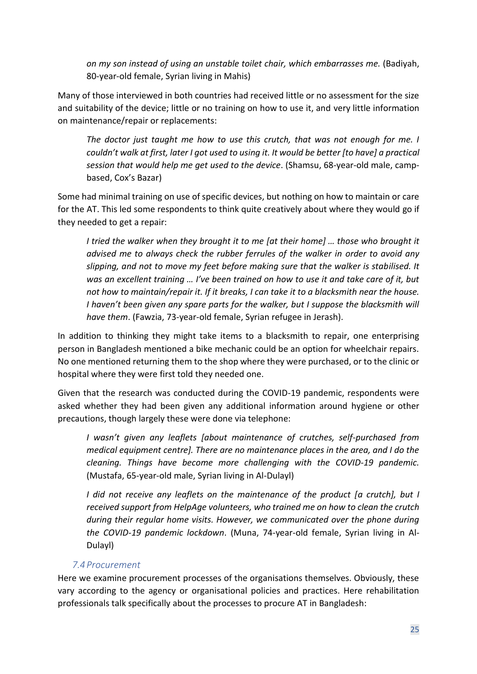*on my son instead of using an unstable toilet chair, which embarrasses me.* (Badiyah, 80-year-old female, Syrian living in Mahis)

Many of those interviewed in both countries had received little or no assessment for the size and suitability of the device; little or no training on how to use it, and very little information on maintenance/repair or replacements:

*The doctor just taught me how to use this crutch, that was not enough for me. I couldn't walk at first, later I got used to using it. It would be better [to have] a practical session that would help me get used to the device*. (Shamsu, 68-year-old male, campbased, Cox's Bazar)

Some had minimal training on use of specific devices, but nothing on how to maintain or care for the AT. This led some respondents to think quite creatively about where they would go if they needed to get a repair:

*I tried the walker when they brought it to me [at their home] … those who brought it advised me to always check the rubber ferrules of the walker in order to avoid any slipping, and not to move my feet before making sure that the walker is stabilised. It was an excellent training … I've been trained on how to use it and take care of it, but not how to maintain/repair it. If it breaks, I can take it to a blacksmith near the house. I haven't been given any spare parts for the walker, but I suppose the blacksmith will have them*. (Fawzia, 73-year-old female, Syrian refugee in Jerash).

In addition to thinking they might take items to a blacksmith to repair, one enterprising person in Bangladesh mentioned a bike mechanic could be an option for wheelchair repairs. No one mentioned returning them to the shop where they were purchased, or to the clinic or hospital where they were first told they needed one.

Given that the research was conducted during the COVID-19 pandemic, respondents were asked whether they had been given any additional information around hygiene or other precautions, though largely these were done via telephone:

*I wasn't given any leaflets [about maintenance of crutches, self-purchased from medical equipment centre]. There are no maintenance places in the area, and I do the cleaning. Things have become more challenging with the COVID-19 pandemic.* (Mustafa, 65-year-old male, Syrian living in Al-Dulayl)

*I did not receive any leaflets on the maintenance of the product [a crutch], but I received support from HelpAge volunteers, who trained me on how to clean the crutch during their regular home visits. However, we communicated over the phone during the COVID-19 pandemic lockdown*. (Muna, 74-year-old female, Syrian living in Al-Dulayl)

#### *7.4 Procurement*

<span id="page-25-0"></span>Here we examine procurement processes of the organisations themselves. Obviously, these vary according to the agency or organisational policies and practices. Here rehabilitation professionals talk specifically about the processes to procure AT in Bangladesh: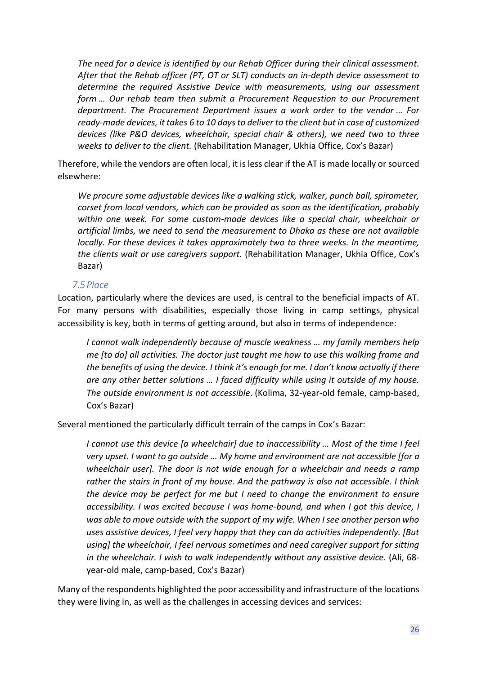*The need for a device is identified by our Rehab Officer during their clinical assessment. After that the Rehab officer (PT, OT or SLT) conducts an in-depth device assessment to determine the required Assistive Device with measurements, using our assessment form … Our rehab team then submit a Procurement Requestion to our Procurement department. The Procurement Department issues a work order to the vendor … For ready-made devices, it takes 6 to 10 days to deliver to the client but in case of customized devices (like P&O devices, wheelchair, special chair & others), we need two to three weeks to deliver to the client.* (Rehabilitation Manager, Ukhia Office, Cox's Bazar)

Therefore, while the vendors are often local, it is less clear if the AT is made locally or sourced elsewhere:

*We procure some adjustable devices like a walking stick, walker, punch ball, spirometer, corset from local vendors, which can be provided as soon as the identification, probably within one week. For some custom-made devices like a special chair, wheelchair or artificial limbs, we need to send the measurement to Dhaka as these are not available locally. For these devices it takes approximately two to three weeks. In the meantime, the clients wait or use caregivers support.* (Rehabilitation Manager, Ukhia Office, Cox's Bazar)

#### *7.5 Place*

<span id="page-26-0"></span>Location, particularly where the devices are used, is central to the beneficial impacts of AT. For many persons with disabilities, especially those living in camp settings, physical accessibility is key, both in terms of getting around, but also in terms of independence:

*I cannot walk independently because of muscle weakness … my family members help me [to do] all activities. The doctor just taught me how to use this walking frame and the benefits of using the device. I think it's enough for me. I don't know actually if there are any other better solutions … I faced difficulty while using it outside of my house. The outside environment is not accessible*. (Kolima, 32-year-old female, camp-based, Cox's Bazar)

Several mentioned the particularly difficult terrain of the camps in Cox's Bazar:

*I cannot use this device [a wheelchair] due to inaccessibility … Most of the time I feel very upset. I want to go outside … My home and environment are not accessible [for a wheelchair user]. The door is not wide enough for a wheelchair and needs a ramp rather the stairs in front of my house. And the pathway is also not accessible. I think the device may be perfect for me but I need to change the environment to ensure accessibility. I was excited because I was home-bound, and when I got this device, I was able to move outside with the support of my wife. When I see another person who uses assistive devices, I feel very happy that they can do activities independently. [But using] the wheelchair, I feel nervous sometimes and need caregiver support for sitting in the wheelchair. I wish to walk independently without any assistive device.* (Ali, 68 year-old male, camp-based, Cox's Bazar)

Many of the respondents highlighted the poor accessibility and infrastructure of the locations they were living in, as well as the challenges in accessing devices and services: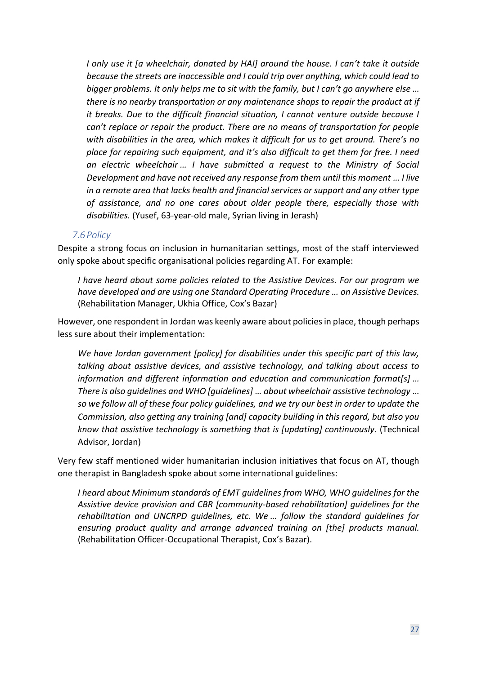*I only use it [a wheelchair, donated by HAI] around the house. I can't take it outside because the streets are inaccessible and I could trip over anything, which could lead to bigger problems. It only helps me to sit with the family, but I can't go anywhere else … there is no nearby transportation or any maintenance shops to repair the product at if it breaks. Due to the difficult financial situation, I cannot venture outside because I can't replace or repair the product. There are no means of transportation for people with disabilities in the area, which makes it difficult for us to get around. There's no place for repairing such equipment, and it's also difficult to get them for free. I need an electric wheelchair … I have submitted a request to the Ministry of Social Development and have not received any response from them until this moment … I live in a remote area that lacks health and financial services or support and any other type of assistance, and no one cares about older people there, especially those with disabilities.* (Yusef, 63-year-old male, Syrian living in Jerash)

#### *7.6 Policy*

<span id="page-27-0"></span>Despite a strong focus on inclusion in humanitarian settings, most of the staff interviewed only spoke about specific organisational policies regarding AT. For example:

*I have heard about some policies related to the Assistive Devices. For our program we have developed and are using one Standard Operating Procedure … on Assistive Devices.*  (Rehabilitation Manager, Ukhia Office, Cox's Bazar)

However, one respondent in Jordan was keenly aware about policies in place, though perhaps less sure about their implementation:

*We have Jordan government [policy] for disabilities under this specific part of this law, talking about assistive devices, and assistive technology, and talking about access to information and different information and education and communication format[s] … There is also guidelines and WHO [guidelines] … about wheelchair assistive technology … so we follow all of these four policy guidelines, and we try our best in order to update the Commission, also getting any training [and] capacity building in this regard, but also you know that assistive technology is something that is [updating] continuously.* (Technical Advisor, Jordan)

Very few staff mentioned wider humanitarian inclusion initiatives that focus on AT, though one therapist in Bangladesh spoke about some international guidelines:

*I heard about Minimum standards of EMT guidelines from WHO, WHO guidelines for the Assistive device provision and CBR [community-based rehabilitation] guidelines for the rehabilitation and UNCRPD guidelines, etc. We … follow the standard guidelines for ensuring product quality and arrange advanced training on [the] products manual.* (Rehabilitation Officer-Occupational Therapist, Cox's Bazar).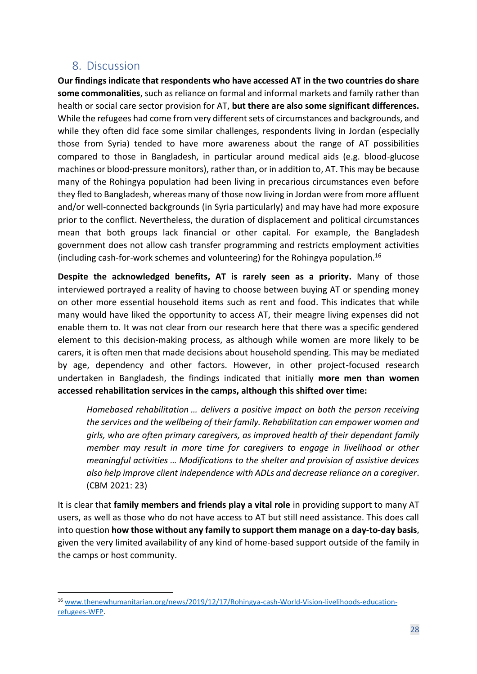## <span id="page-28-0"></span>8. Discussion

**Our findings indicate that respondents who have accessed AT in the two countries do share some commonalities**, such as reliance on formal and informal markets and family rather than health or social care sector provision for AT, **but there are also some significant differences.** While the refugees had come from very different sets of circumstances and backgrounds, and while they often did face some similar challenges, respondents living in Jordan (especially those from Syria) tended to have more awareness about the range of AT possibilities compared to those in Bangladesh, in particular around medical aids (e.g. blood-glucose machines or blood-pressure monitors), rather than, or in addition to, AT. This may be because many of the Rohingya population had been living in precarious circumstances even before they fled to Bangladesh, whereas many of those now living in Jordan were from more affluent and/or well-connected backgrounds (in Syria particularly) and may have had more exposure prior to the conflict. Nevertheless, the duration of displacement and political circumstances mean that both groups lack financial or other capital. For example, the Bangladesh government does not allow cash transfer programming and restricts employment activities (including cash-for-work schemes and volunteering) for the Rohingya population. 16

**Despite the acknowledged benefits, AT is rarely seen as a priority.** Many of those interviewed portrayed a reality of having to choose between buying AT or spending money on other more essential household items such as rent and food. This indicates that while many would have liked the opportunity to access AT, their meagre living expenses did not enable them to. It was not clear from our research here that there was a specific gendered element to this decision-making process, as although while women are more likely to be carers, it is often men that made decisions about household spending. This may be mediated by age, dependency and other factors. However, in other project-focused research undertaken in Bangladesh, the findings indicated that initially **more men than women accessed rehabilitation services in the camps, although this shifted over time:**

*Homebased rehabilitation … delivers a positive impact on both the person receiving the services and the wellbeing of their family. Rehabilitation can empower women and girls, who are often primary caregivers, as improved health of their dependant family member may result in more time for caregivers to engage in livelihood or other meaningful activities … Modifications to the shelter and provision of assistive devices also help improve client independence with ADLs and decrease reliance on a caregiver*. (CBM 2021: 23)

It is clear that **family members and friends play a vital role** in providing support to many AT users, as well as those who do not have access to AT but still need assistance. This does call into question **how those without any family to support them manage on a day-to-day basis**, given the very limited availability of any kind of home-based support outside of the family in the camps or host community.

<sup>16</sup> [www.thenewhumanitarian.org/news/2019/12/17/Rohingya-cash-World-Vision-livelihoods-education](https://www.thenewhumanitarian.org/news/2019/12/17/Rohingya-cash-World-Vision-livelihoods-education-refugees-WFP)[refugees-WFP.](https://www.thenewhumanitarian.org/news/2019/12/17/Rohingya-cash-World-Vision-livelihoods-education-refugees-WFP)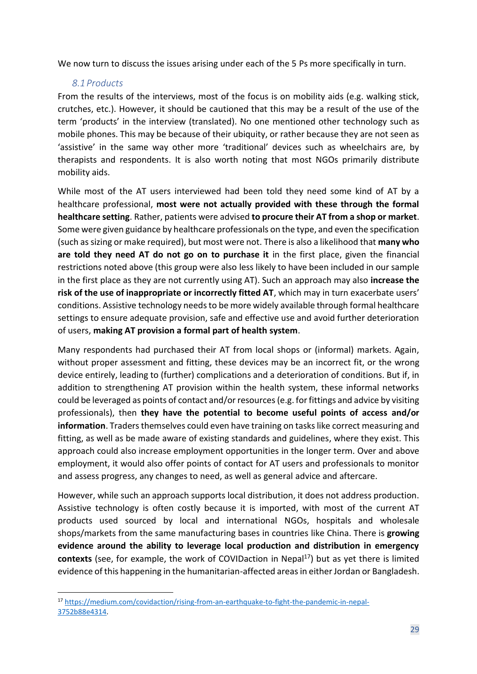We now turn to discuss the issues arising under each of the 5 Ps more specifically in turn.

#### *8.1 Products*

<span id="page-29-0"></span>From the results of the interviews, most of the focus is on mobility aids (e.g. walking stick, crutches, etc.). However, it should be cautioned that this may be a result of the use of the term 'products' in the interview (translated). No one mentioned other technology such as mobile phones. This may be because of their ubiquity, or rather because they are not seen as 'assistive' in the same way other more 'traditional' devices such as wheelchairs are, by therapists and respondents. It is also worth noting that most NGOs primarily distribute mobility aids.

While most of the AT users interviewed had been told they need some kind of AT by a healthcare professional, **most were not actually provided with these through the formal healthcare setting**. Rather, patients were advised **to procure their AT from a shop or market**. Some were given guidance by healthcare professionals on the type, and even the specification (such as sizing or make required), but most were not. There is also a likelihood that **many who are told they need AT do not go on to purchase it** in the first place, given the financial restrictions noted above (this group were also less likely to have been included in our sample in the first place as they are not currently using AT). Such an approach may also **increase the risk of the use of inappropriate or incorrectly fitted AT**, which may in turn exacerbate users' conditions. Assistive technology needs to be more widely available through formal healthcare settings to ensure adequate provision, safe and effective use and avoid further deterioration of users, **making AT provision a formal part of health system**.

Many respondents had purchased their AT from local shops or (informal) markets. Again, without proper assessment and fitting, these devices may be an incorrect fit, or the wrong device entirely, leading to (further) complications and a deterioration of conditions. But if, in addition to strengthening AT provision within the health system, these informal networks could be leveraged as points of contact and/or resources(e.g. for fittings and advice by visiting professionals), then **they have the potential to become useful points of access and/or information**. Traders themselves could even have training on tasks like correct measuring and fitting, as well as be made aware of existing standards and guidelines, where they exist. This approach could also increase employment opportunities in the longer term. Over and above employment, it would also offer points of contact for AT users and professionals to monitor and assess progress, any changes to need, as well as general advice and aftercare.

However, while such an approach supports local distribution, it does not address production. Assistive technology is often costly because it is imported, with most of the current AT products used sourced by local and international NGOs, hospitals and wholesale shops/markets from the same manufacturing bases in countries like China. There is **growing evidence around the ability to leverage local production and distribution in emergency**  contexts (see, for example, the work of COVIDaction in Nepal<sup>17</sup>) but as yet there is limited evidence of this happening in the humanitarian-affected areas in either Jordan or Bangladesh.

<sup>17</sup> [https://medium.com/covidaction/rising-from-an-earthquake-to-fight-the-pandemic-in-nepal-](https://medium.com/covidaction/rising-from-an-earthquake-to-fight-the-pandemic-in-nepal-3752b88e4314)[3752b88e4314.](https://medium.com/covidaction/rising-from-an-earthquake-to-fight-the-pandemic-in-nepal-3752b88e4314)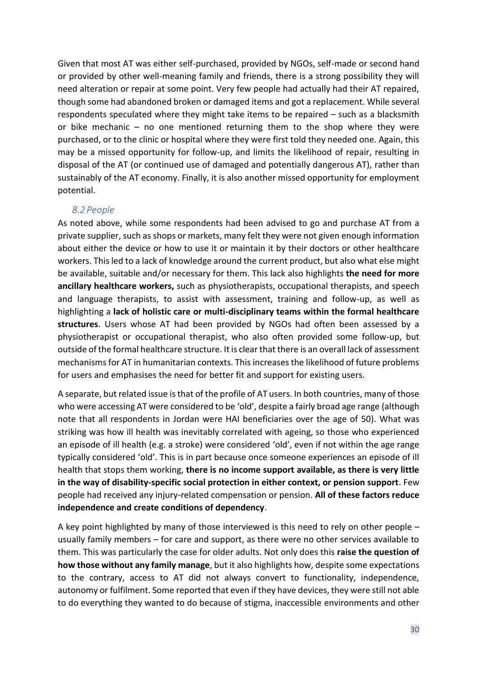Given that most AT was either self-purchased, provided by NGOs, self-made or second hand or provided by other well-meaning family and friends, there is a strong possibility they will need alteration or repair at some point. Very few people had actually had their AT repaired, though some had abandoned broken or damaged items and got a replacement. While several respondents speculated where they might take items to be repaired – such as a blacksmith or bike mechanic – no one mentioned returning them to the shop where they were purchased, or to the clinic or hospital where they were first told they needed one. Again, this may be a missed opportunity for follow-up, and limits the likelihood of repair, resulting in disposal of the AT (or continued use of damaged and potentially dangerous AT), rather than sustainably of the AT economy. Finally, it is also another missed opportunity for employment potential.

#### *8.2 People*

<span id="page-30-0"></span>As noted above, while some respondents had been advised to go and purchase AT from a private supplier, such as shops or markets, many felt they were not given enough information about either the device or how to use it or maintain it by their doctors or other healthcare workers. This led to a lack of knowledge around the current product, but also what else might be available, suitable and/or necessary for them. This lack also highlights **the need for more ancillary healthcare workers,** such as physiotherapists, occupational therapists, and speech and language therapists, to assist with assessment, training and follow-up, as well as highlighting a **lack of holistic care or multi-disciplinary teams within the formal healthcare structures**. Users whose AT had been provided by NGOs had often been assessed by a physiotherapist or occupational therapist, who also often provided some follow-up, but outside of the formal healthcare structure. It is clear that there is an overall lack of assessment mechanisms for AT in humanitarian contexts. This increases the likelihood of future problems for users and emphasises the need for better fit and support for existing users.

A separate, but related issue is that of the profile of AT users. In both countries, many of those who were accessing AT were considered to be 'old', despite a fairly broad age range (although note that all respondents in Jordan were HAI beneficiaries over the age of 50). What was striking was how ill health was inevitably correlated with ageing, so those who experienced an episode of ill health (e.g. a stroke) were considered 'old', even if not within the age range typically considered 'old'. This is in part because once someone experiences an episode of ill health that stops them working, **there is no income support available, as there is very little in the way of disability-specific social protection in either context, or pension support**. Few people had received any injury-related compensation or pension. **All of these factors reduce independence and create conditions of dependency**.

A key point highlighted by many of those interviewed is this need to rely on other people – usually family members – for care and support, as there were no other services available to them. This was particularly the case for older adults. Not only does this **raise the question of how those without any family manage**, but it also highlights how, despite some expectations to the contrary, access to AT did not always convert to functionality, independence, autonomy or fulfilment. Some reported that even if they have devices, they were still not able to do everything they wanted to do because of stigma, inaccessible environments and other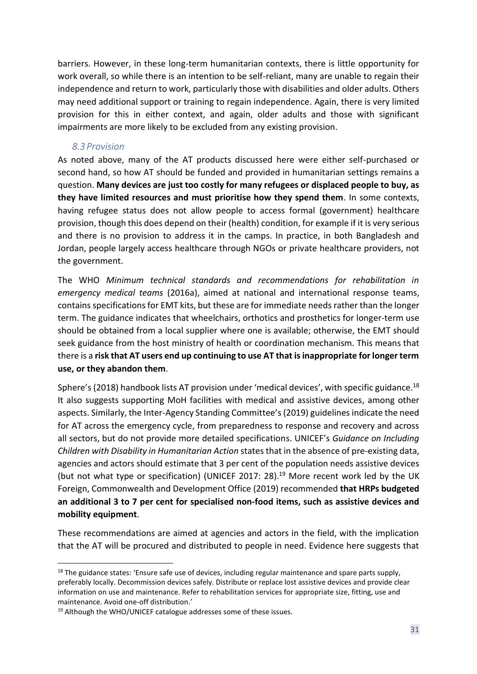barriers. However, in these long-term humanitarian contexts, there is little opportunity for work overall, so while there is an intention to be self-reliant, many are unable to regain their independence and return to work, particularly those with disabilities and older adults. Others may need additional support or training to regain independence. Again, there is very limited provision for this in either context, and again, older adults and those with significant impairments are more likely to be excluded from any existing provision.

#### *8.3 Provision*

<span id="page-31-0"></span>As noted above, many of the AT products discussed here were either self-purchased or second hand, so how AT should be funded and provided in humanitarian settings remains a question. **Many devices are just too costly for many refugees or displaced people to buy, as they have limited resources and must prioritise how they spend them**. In some contexts, having refugee status does not allow people to access formal (government) healthcare provision, though this does depend on their (health) condition, for example if it is very serious and there is no provision to address it in the camps. In practice, in both Bangladesh and Jordan, people largely access healthcare through NGOs or private healthcare providers, not the government.

The WHO *Minimum technical standards and recommendations for rehabilitation in emergency medical teams* (2016a), aimed at national and international response teams, contains specifications for EMT kits, but these are for immediate needsrather than the longer term. The guidance indicates that wheelchairs, orthotics and prosthetics for longer-term use should be obtained from a local supplier where one is available; otherwise, the EMT should seek guidance from the host ministry of health or coordination mechanism. This means that there is a **risk that AT users end up continuing to use AT that is inappropriate for longer term use, or they abandon them**.

Sphere's (2018) handbook lists AT provision under 'medical devices', with specific guidance. $^{18}$ It also suggests supporting MoH facilities with medical and assistive devices, among other aspects. Similarly, the Inter-Agency Standing Committee's (2019) guidelines indicate the need for AT across the emergency cycle, from preparedness to response and recovery and across all sectors, but do not provide more detailed specifications. UNICEF's *Guidance on Including Children with Disability in Humanitarian Action* states that in the absence of pre-existing data, agencies and actors should estimate that 3 per cent of the population needs assistive devices (but not what type or specification) (UNICEF 2017: 28). <sup>19</sup> More recent work led by the UK Foreign, Commonwealth and Development Office (2019) recommended **that HRPs budgeted an additional 3 to 7 per cent for specialised non-food items, such as assistive devices and mobility equipment**.

These recommendations are aimed at agencies and actors in the field, with the implication that the AT will be procured and distributed to people in need. Evidence here suggests that

<sup>&</sup>lt;sup>18</sup> The guidance states: 'Ensure safe use of devices, including regular maintenance and spare parts supply, preferably locally. Decommission devices safely. Distribute or replace lost assistive devices and provide clear information on use and maintenance. Refer to rehabilitation services for appropriate size, fitting, use and maintenance. Avoid one-off distribution.'

<sup>&</sup>lt;sup>19</sup> Although the WHO/UNICEF catalogue addresses some of these issues.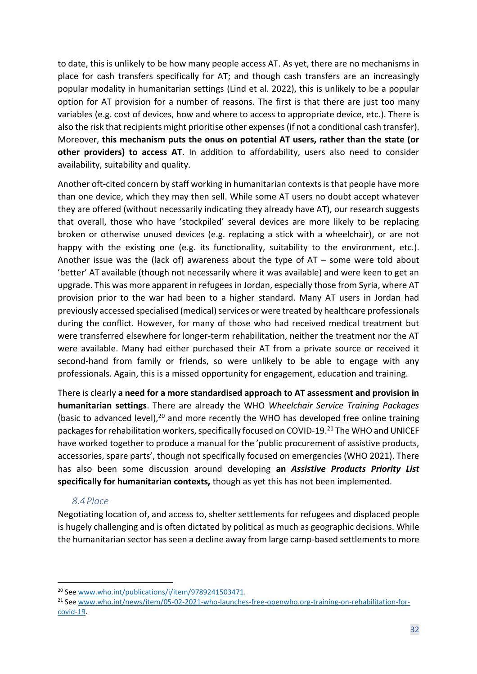to date, this is unlikely to be how many people access AT. As yet, there are no mechanisms in place for cash transfers specifically for AT; and though cash transfers are an increasingly popular modality in humanitarian settings (Lind et al. 2022), this is unlikely to be a popular option for AT provision for a number of reasons. The first is that there are just too many variables (e.g. cost of devices, how and where to access to appropriate device, etc.). There is also the risk that recipients might prioritise other expenses (if not a conditional cash transfer). Moreover, **this mechanism puts the onus on potential AT users, rather than the state (or other providers) to access AT**. In addition to affordability, users also need to consider availability, suitability and quality.

Another oft-cited concern by staff working in humanitarian contexts is that people have more than one device, which they may then sell. While some AT users no doubt accept whatever they are offered (without necessarily indicating they already have AT), our research suggests that overall, those who have 'stockpiled' several devices are more likely to be replacing broken or otherwise unused devices (e.g. replacing a stick with a wheelchair), or are not happy with the existing one (e.g. its functionality, suitability to the environment, etc.). Another issue was the (lack of) awareness about the type of AT – some were told about 'better' AT available (though not necessarily where it was available) and were keen to get an upgrade. This was more apparent in refugees in Jordan, especially those from Syria, where AT provision prior to the war had been to a higher standard. Many AT users in Jordan had previously accessed specialised (medical) services or were treated by healthcare professionals during the conflict. However, for many of those who had received medical treatment but were transferred elsewhere for longer-term rehabilitation, neither the treatment nor the AT were available. Many had either purchased their AT from a private source or received it second-hand from family or friends, so were unlikely to be able to engage with any professionals. Again, this is a missed opportunity for engagement, education and training.

There is clearly **a need for a more standardised approach to AT assessment and provision in humanitarian settings**. There are already the WHO *Wheelchair Service Training Packages* (basic to advanced level), $^{20}$  and more recently the WHO has developed free online training packages for rehabilitation workers, specifically focused on COVID-19.<sup>21</sup> The WHO and UNICEF have worked together to produce a manual for the 'public procurement of assistive products, accessories, spare parts', though not specifically focused on emergencies (WHO 2021). There has also been some discussion around developing **an** *Assistive Products Priority List* **specifically for humanitarian contexts,** though as yet this has not been implemented.

## *8.4 Place*

<span id="page-32-0"></span>Negotiating location of, and access to, shelter settlements for refugees and displaced people is hugely challenging and is often dictated by political as much as geographic decisions. While the humanitarian sector has seen a decline away from large camp-based settlements to more

<sup>&</sup>lt;sup>20</sup> Se[e www.who.int/publications/i/item/9789241503471.](http://www.who.int/publications/i/item/9789241503471)

<sup>&</sup>lt;sup>21</sup> Se[e www.who.int/news/item/05-02-2021-who-launches-free-openwho.org-training-on-rehabilitation-for](http://www.who.int/news/item/05-02-2021-who-launches-free-openwho.org-training-on-rehabilitation-for-covid-19)[covid-19.](http://www.who.int/news/item/05-02-2021-who-launches-free-openwho.org-training-on-rehabilitation-for-covid-19)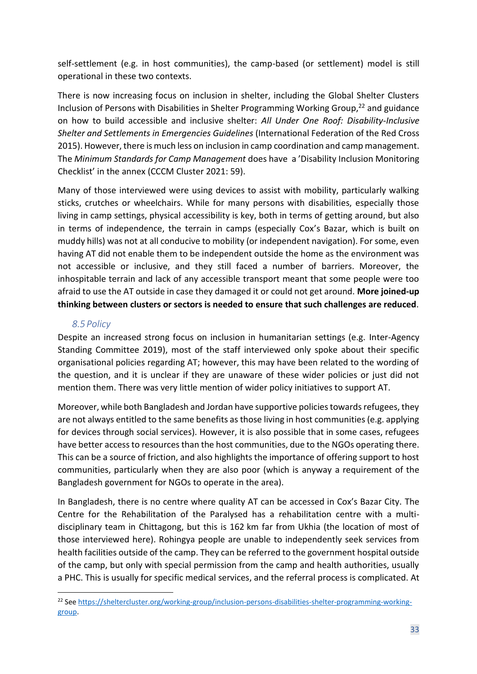self-settlement (e.g. in host communities), the camp-based (or settlement) model is still operational in these two contexts.

There is now increasing focus on inclusion in shelter, including the Global Shelter Clusters Inclusion of Persons with Disabilities in Shelter Programming Working Group,<sup>22</sup> and guidance on how to build accessible and inclusive shelter: *All Under One Roof: Disability-Inclusive Shelter and Settlements in Emergencies Guidelines* (International Federation of the Red Cross 2015). However, there is much less on inclusion in camp coordination and camp management. The *Minimum Standards for Camp Management* does have a 'Disability Inclusion Monitoring Checklist' in the annex (CCCM Cluster 2021: 59).

Many of those interviewed were using devices to assist with mobility, particularly walking sticks, crutches or wheelchairs. While for many persons with disabilities, especially those living in camp settings, physical accessibility is key, both in terms of getting around, but also in terms of independence, the terrain in camps (especially Cox's Bazar, which is built on muddy hills) was not at all conducive to mobility (or independent navigation). For some, even having AT did not enable them to be independent outside the home as the environment was not accessible or inclusive, and they still faced a number of barriers. Moreover, the inhospitable terrain and lack of any accessible transport meant that some people were too afraid to use the AT outside in case they damaged it or could not get around. **More joined-up thinking between clusters or sectors is needed to ensure that such challenges are reduced**.

## *8.5 Policy*

<span id="page-33-0"></span>Despite an increased strong focus on inclusion in humanitarian settings (e.g. Inter-Agency Standing Committee 2019), most of the staff interviewed only spoke about their specific organisational policies regarding AT; however, this may have been related to the wording of the question, and it is unclear if they are unaware of these wider policies or just did not mention them. There was very little mention of wider policy initiatives to support AT.

Moreover, while both Bangladesh and Jordan have supportive policies towards refugees, they are not always entitled to the same benefits as those living in host communities (e.g. applying for devices through social services). However, it is also possible that in some cases, refugees have better access to resources than the host communities, due to the NGOs operating there. This can be a source of friction, and also highlights the importance of offering support to host communities, particularly when they are also poor (which is anyway a requirement of the Bangladesh government for NGOs to operate in the area).

In Bangladesh, there is no centre where quality AT can be accessed in Cox's Bazar City. The Centre for the Rehabilitation of the Paralysed has a rehabilitation centre with a multidisciplinary team in Chittagong, but this is 162 km far from Ukhia (the location of most of those interviewed here). Rohingya people are unable to independently seek services from health facilities outside of the camp. They can be referred to the government hospital outside of the camp, but only with special permission from the camp and health authorities, usually a PHC. This is usually for specific medical services, and the referral process is complicated. At

<sup>&</sup>lt;sup>22</sup> Se[e https://sheltercluster.org/working-group/inclusion-persons-disabilities-shelter-programming-working](https://sheltercluster.org/working-group/inclusion-persons-disabilities-shelter-programming-working-group)[group.](https://sheltercluster.org/working-group/inclusion-persons-disabilities-shelter-programming-working-group)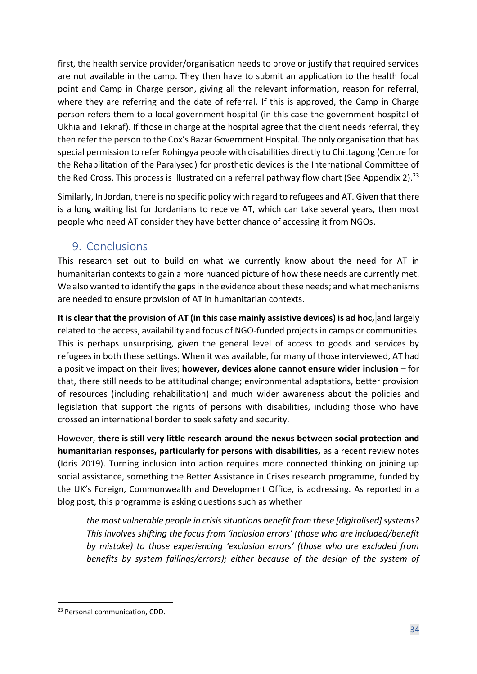first, the health service provider/organisation needs to prove or justify that required services are not available in the camp. They then have to submit an application to the health focal point and Camp in Charge person, giving all the relevant information, reason for referral, where they are referring and the date of referral. If this is approved, the Camp in Charge person refers them to a local government hospital (in this case the government hospital of Ukhia and Teknaf). If those in charge at the hospital agree that the client needs referral, they then refer the person to the Cox's Bazar Government Hospital. The only organisation that has special permission to refer Rohingya people with disabilities directly to Chittagong (Centre for the Rehabilitation of the Paralysed) for prosthetic devices is the International Committee of the Red Cross. This process is illustrated on a referral pathway flow chart (See Appendix 2).<sup>23</sup>

Similarly, In Jordan, there is no specific policy with regard to refugees and AT. Given that there is a long waiting list for Jordanians to receive AT, which can take several years, then most people who need AT consider they have better chance of accessing it from NGOs.

# <span id="page-34-0"></span>9. Conclusions

This research set out to build on what we currently know about the need for AT in humanitarian contexts to gain a more nuanced picture of how these needs are currently met. We also wanted to identify the gaps in the evidence about these needs; and what mechanisms are needed to ensure provision of AT in humanitarian contexts.

**It is clear that the provision of AT (in this case mainly assistive devices) is ad hoc,** and largely related to the access, availability and focus of NGO-funded projects in camps or communities. This is perhaps unsurprising, given the general level of access to goods and services by refugees in both these settings. When it was available, for many of those interviewed, AT had a positive impact on their lives; **however, devices alone cannot ensure wider inclusion** – for that, there still needs to be attitudinal change; environmental adaptations, better provision of resources (including rehabilitation) and much wider awareness about the policies and legislation that support the rights of persons with disabilities, including those who have crossed an international border to seek safety and security.

However, **there is still very little research around the nexus between social protection and humanitarian responses, particularly for persons with disabilities,** as a recent review notes (Idris 2019). Turning inclusion into action requires more connected thinking on joining up social assistance, something the Better Assistance in Crises research programme, funded by the UK's Foreign, Commonwealth and Development Office, is addressing. As reported in a blog post, this programme is asking questions such as whether

*the most vulnerable people in crisis situations benefit from these [digitalised] systems? This involves shifting the focus from 'inclusion errors' (those who are included/benefit by mistake) to those experiencing 'exclusion errors' (those who are excluded from benefits by system failings/errors); either because of the design of the system of* 

<sup>23</sup> Personal communication, CDD.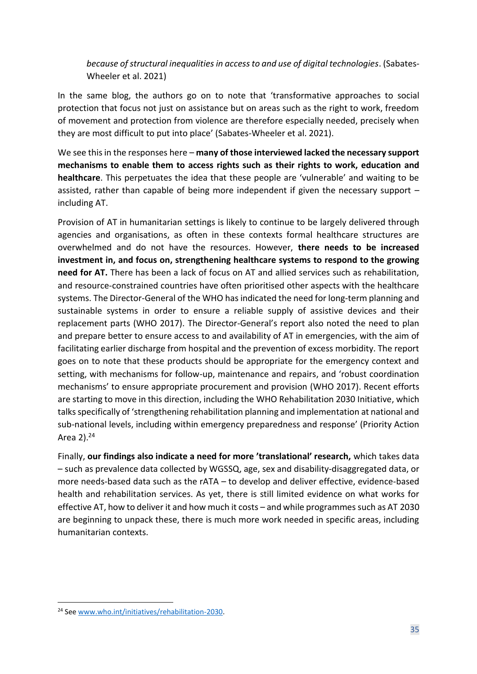*because of structural inequalities in access to and use of digital technologies*. (Sabates-Wheeler et al. 2021)

In the same blog, the authors go on to note that 'transformative approaches to social protection that focus not just on assistance but on areas such as the right to work, freedom of movement and protection from violence are therefore especially needed, precisely when they are most difficult to put into place' (Sabates-Wheeler et al. 2021).

We see this in the responses here – **many of those interviewed lacked the necessary support mechanisms to enable them to access rights such as their rights to work, education and healthcare**. This perpetuates the idea that these people are 'vulnerable' and waiting to be assisted, rather than capable of being more independent if given the necessary support – including AT.

Provision of AT in humanitarian settings is likely to continue to be largely delivered through agencies and organisations, as often in these contexts formal healthcare structures are overwhelmed and do not have the resources. However, **there needs to be increased investment in, and focus on, strengthening healthcare systems to respond to the growing need for AT.** There has been a lack of focus on AT and allied services such as rehabilitation, and resource-constrained countries have often prioritised other aspects with the healthcare systems. The Director-General of the WHO has indicated the need for long-term planning and sustainable systems in order to ensure a reliable supply of assistive devices and their replacement parts (WHO 2017). The Director-General's report also noted the need to plan and prepare better to ensure access to and availability of AT in emergencies, with the aim of facilitating earlier discharge from hospital and the prevention of excess morbidity. The report goes on to note that these products should be appropriate for the emergency context and setting, with mechanisms for follow-up, maintenance and repairs, and 'robust coordination mechanisms' to ensure appropriate procurement and provision (WHO 2017). Recent efforts are starting to move in this direction, including the WHO Rehabilitation 2030 Initiative, which talks specifically of 'strengthening rehabilitation planning and implementation at national and sub-national levels, including within emergency preparedness and response' (Priority Action Area  $2$ ). $24$ 

Finally, **our findings also indicate a need for more 'translational' research,** which takes data – such as prevalence data collected by WGSSQ, age, sex and disability-disaggregated data, or more needs-based data such as the rATA – to develop and deliver effective, evidence-based health and rehabilitation services. As yet, there is still limited evidence on what works for effective AT, how to deliver it and how much it costs – and while programmes such as AT 2030 are beginning to unpack these, there is much more work needed in specific areas, including humanitarian contexts.

<sup>24</sup> Se[e www.who.int/initiatives/rehabilitation-2030.](https://www.who.int/initiatives/rehabilitation-2030)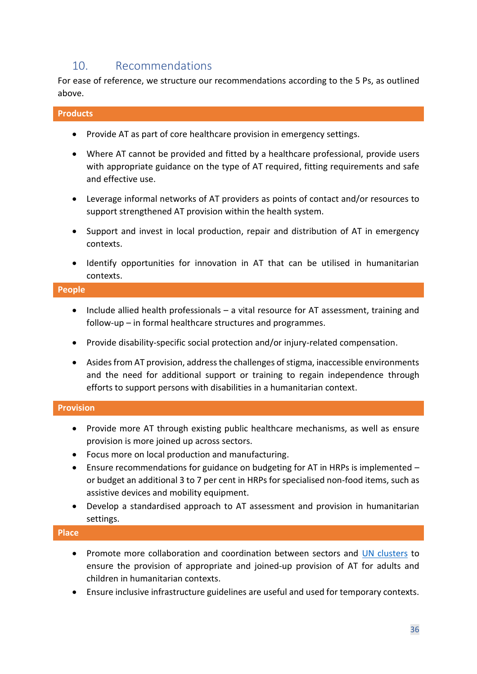# <span id="page-36-0"></span>10. Recommendations

For ease of reference, we structure our recommendations according to the 5 Ps, as outlined above.

#### **Products**

- Provide AT as part of core healthcare provision in emergency settings.
- Where AT cannot be provided and fitted by a healthcare professional, provide users with appropriate guidance on the type of AT required, fitting requirements and safe and effective use.
- Leverage informal networks of AT providers as points of contact and/or resources to support strengthened AT provision within the health system.
- Support and invest in local production, repair and distribution of AT in emergency contexts.
- Identify opportunities for innovation in AT that can be utilised in humanitarian contexts.

#### **People**

- Include allied health professionals a vital resource for AT assessment, training and follow-up – in formal healthcare structures and programmes.
- Provide disability-specific social protection and/or injury-related compensation.
- Asides from AT provision, address the challenges of stigma, inaccessible environments and the need for additional support or training to regain independence through efforts to support persons with disabilities in a humanitarian context.

#### **Provision**

- Provide more AT through existing public healthcare mechanisms, as well as ensure provision is more joined up across sectors.
- Focus more on local production and manufacturing.
- Ensure recommendations for guidance on budgeting for AT in HRPs is implemented or budget an additional 3 to 7 per cent in HRPs for specialised non-food items, such as assistive devices and mobility equipment.
- Develop a standardised approach to AT assessment and provision in humanitarian settings.

#### **Place**

- Promote more collaboration and coordination between sectors and [UN clusters](https://www.humanitarianresponse.info/en/coordination/clusters/what-cluster-approach) to ensure the provision of appropriate and joined-up provision of AT for adults and children in humanitarian contexts.
- Ensure inclusive infrastructure guidelines are useful and used for temporary contexts.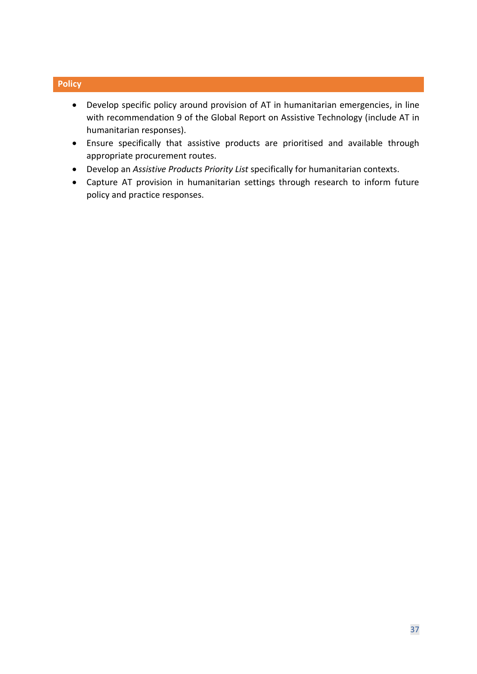#### **Policy**

- Develop specific policy around provision of AT in humanitarian emergencies, in line with recommendation 9 of the Global Report on Assistive Technology (include AT in humanitarian responses).
- Ensure specifically that assistive products are prioritised and available through appropriate procurement routes.
- Develop an *Assistive Products Priority List* specifically for humanitarian contexts.
- Capture AT provision in humanitarian settings through research to inform future policy and practice responses.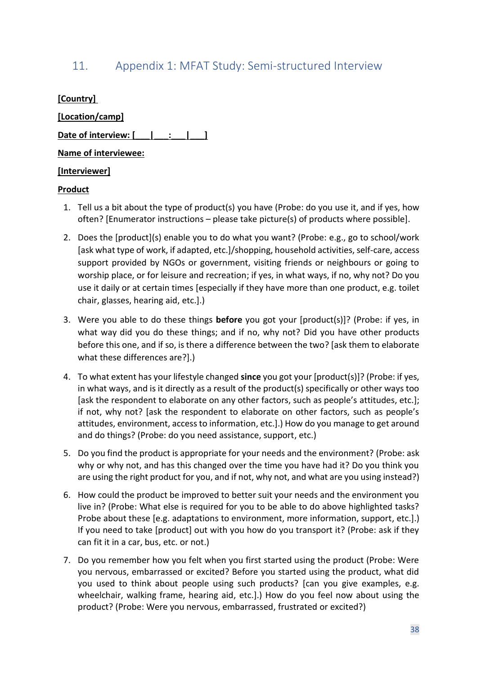# <span id="page-38-0"></span>11. Appendix 1: MFAT Study: Semi-structured Interview

**[Country]**

| [Location/camp]             |  |  |  |  |
|-----------------------------|--|--|--|--|
| Date of interview: [        |  |  |  |  |
| <b>Name of interviewee:</b> |  |  |  |  |
| [Interviewer]               |  |  |  |  |

#### **Product**

- 1. Tell us a bit about the type of product(s) you have (Probe: do you use it, and if yes, how often? [Enumerator instructions – please take picture(s) of products where possible].
- 2. Does the [product](s) enable you to do what you want? (Probe: e.g., go to school/work [ask what type of work, if adapted, etc.]/shopping, household activities, self-care, access support provided by NGOs or government, visiting friends or neighbours or going to worship place, or for leisure and recreation; if yes, in what ways, if no, why not? Do you use it daily or at certain times [especially if they have more than one product, e.g. toilet chair, glasses, hearing aid, etc.].)
- 3. Were you able to do these things **before** you got your [product(s)]? (Probe: if yes, in what way did you do these things; and if no, why not? Did you have other products before this one, and if so, is there a difference between the two? [ask them to elaborate what these differences are?].)
- 4. To what extent has your lifestyle changed **since** you got your [product(s)]? (Probe: if yes, in what ways, and is it directly as a result of the product(s) specifically or other ways too [ask the respondent to elaborate on any other factors, such as people's attitudes, etc.]; if not, why not? [ask the respondent to elaborate on other factors, such as people's attitudes, environment, access to information, etc.].) How do you manage to get around and do things? (Probe: do you need assistance, support, etc.)
- 5. Do you find the product is appropriate for your needs and the environment? (Probe: ask why or why not, and has this changed over the time you have had it? Do you think you are using the right product for you, and if not, why not, and what are you using instead?)
- 6. How could the product be improved to better suit your needs and the environment you live in? (Probe: What else is required for you to be able to do above highlighted tasks? Probe about these [e.g. adaptations to environment, more information, support, etc.].) If you need to take [product] out with you how do you transport it? (Probe: ask if they can fit it in a car, bus, etc. or not.)
- 7. Do you remember how you felt when you first started using the product (Probe: Were you nervous, embarrassed or excited? Before you started using the product, what did you used to think about people using such products? [can you give examples, e.g. wheelchair, walking frame, hearing aid, etc.].) How do you feel now about using the product? (Probe: Were you nervous, embarrassed, frustrated or excited?)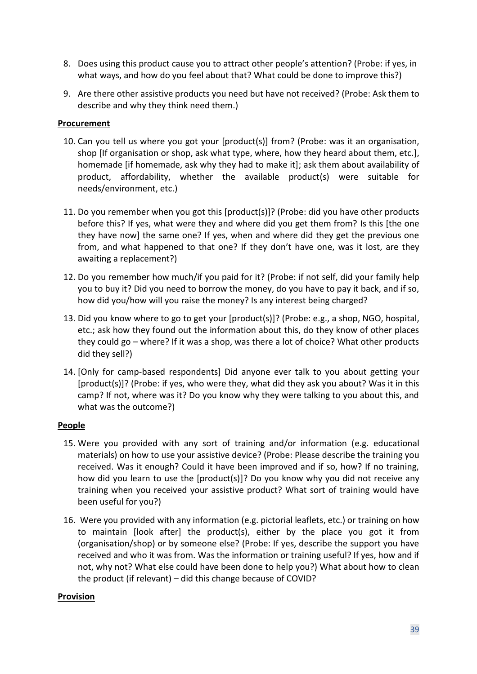- 8. Does using this product cause you to attract other people's attention? (Probe: if yes, in what ways, and how do you feel about that? What could be done to improve this?)
- 9. Are there other assistive products you need but have not received? (Probe: Ask them to describe and why they think need them.)

#### **Procurement**

- 10. Can you tell us where you got your [product(s)] from? (Probe: was it an organisation, shop [If organisation or shop, ask what type, where, how they heard about them, etc.], homemade [if homemade, ask why they had to make it]; ask them about availability of product, affordability, whether the available product(s) were suitable for needs/environment, etc.)
- 11. Do you remember when you got this [product(s)]? (Probe: did you have other products before this? If yes, what were they and where did you get them from? Is this [the one they have now] the same one? If yes, when and where did they get the previous one from, and what happened to that one? If they don't have one, was it lost, are they awaiting a replacement?)
- 12. Do you remember how much/if you paid for it? (Probe: if not self, did your family help you to buy it? Did you need to borrow the money, do you have to pay it back, and if so, how did you/how will you raise the money? Is any interest being charged?
- 13. Did you know where to go to get your [product(s)]? (Probe: e.g., a shop, NGO, hospital, etc.; ask how they found out the information about this, do they know of other places they could go – where? If it was a shop, was there a lot of choice? What other products did they sell?)
- 14. [Only for camp-based respondents] Did anyone ever talk to you about getting your [product(s)]? (Probe: if yes, who were they, what did they ask you about? Was it in this camp? If not, where was it? Do you know why they were talking to you about this, and what was the outcome?)

#### **People**

- 15. Were you provided with any sort of training and/or information (e.g. educational materials) on how to use your assistive device? (Probe: Please describe the training you received. Was it enough? Could it have been improved and if so, how? If no training, how did you learn to use the [product(s)]? Do you know why you did not receive any training when you received your assistive product? What sort of training would have been useful for you?)
- 16. Were you provided with any information (e.g. pictorial leaflets, etc.) or training on how to maintain [look after] the product(s), either by the place you got it from (organisation/shop) or by someone else? (Probe: If yes, describe the support you have received and who it was from. Was the information or training useful? If yes, how and if not, why not? What else could have been done to help you?) What about how to clean the product (if relevant) – did this change because of COVID?

#### **Provision**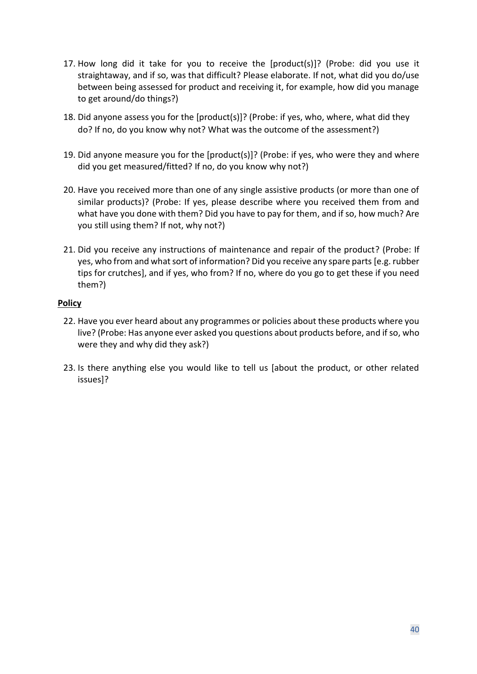- 17. How long did it take for you to receive the [product(s)]? (Probe: did you use it straightaway, and if so, was that difficult? Please elaborate. If not, what did you do/use between being assessed for product and receiving it, for example, how did you manage to get around/do things?)
- 18. Did anyone assess you for the [product(s)]? (Probe: if yes, who, where, what did they do? If no, do you know why not? What was the outcome of the assessment?)
- 19. Did anyone measure you for the [product(s)]? (Probe: if yes, who were they and where did you get measured/fitted? If no, do you know why not?)
- 20. Have you received more than one of any single assistive products (or more than one of similar products)? (Probe: If yes, please describe where you received them from and what have you done with them? Did you have to pay for them, and if so, how much? Are you still using them? If not, why not?)
- 21. Did you receive any instructions of maintenance and repair of the product? (Probe: If yes, who from and what sort of information? Did you receive any spare parts [e.g. rubber tips for crutches], and if yes, who from? If no, where do you go to get these if you need them?)

#### **Policy**

- 22. Have you ever heard about any programmes or policies about these products where you live? (Probe: Has anyone ever asked you questions about products before, and if so, who were they and why did they ask?)
- 23. Is there anything else you would like to tell us [about the product, or other related issues]?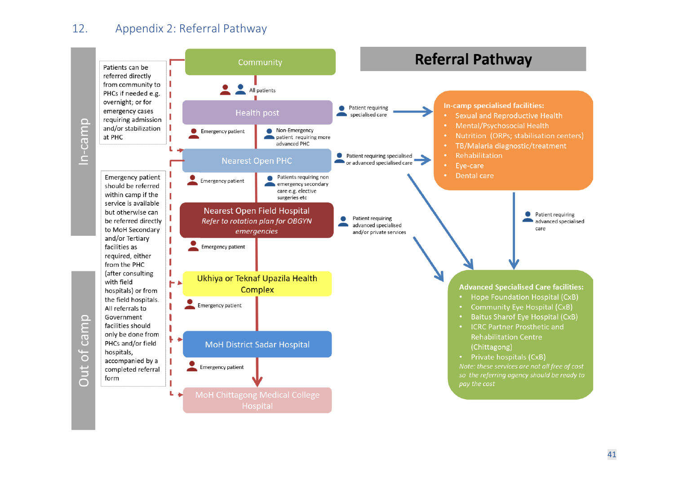# 12. Appendix 2: Referral Pathway

<span id="page-41-0"></span>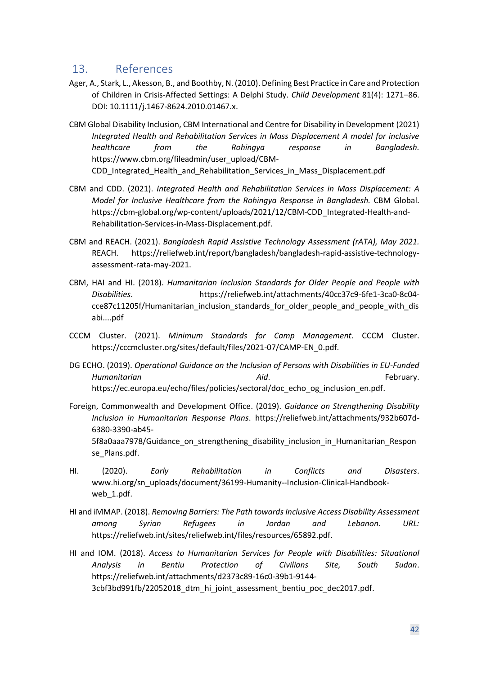## <span id="page-42-0"></span>13. References

se Plans.pdf.

- Ager, A., Stark, L., Akesson, B., and Boothby, N. (2010). Defining Best Practice in Care and Protection of Children in Crisis-Affected Settings: A Delphi Study. *Child Development* 81(4): 1271–86. DOI: 10.1111/j.1467-8624.2010.01467.x.
- CBM Global Disability Inclusion, CBM International and Centre for Disability in Development (2021) *Integrated Health and Rehabilitation Services in Mass Displacement A model for inclusive healthcare from the Rohingya response in Bangladesh.* https://www.cbm.org/fileadmin/user\_upload/CBM-CDD Integrated Health and Rehabilitation Services in Mass Displacement.pdf
- CBM and CDD. (2021). *Integrated Health and Rehabilitation Services in Mass Displacement: A Model for Inclusive Healthcare from the Rohingya Response in Bangladesh.* CBM Global. https://cbm-global.org/wp-content/uploads/2021/12/CBM-CDD\_Integrated-Health-and-Rehabilitation-Services-in-Mass-Displacement.pdf.
- CBM and REACH. (2021). *Bangladesh Rapid Assistive Technology Assessment (rATA), May 2021.* REACH. https://reliefweb.int/report/bangladesh/bangladesh-rapid-assistive-technologyassessment-rata-may-2021.
- CBM, HAI and HI. (2018). *Humanitarian Inclusion Standards for Older People and People with Disabilities*. https://reliefweb.int/attachments/40cc37c9-6fe1-3ca0-8c04 cce87c11205f/Humanitarian\_inclusion\_standards\_for\_older\_people\_and\_people\_with\_dis abi....pdf
- CCCM Cluster. (2021). *Minimum Standards for Camp Management*. CCCM Cluster. https://cccmcluster.org/sites/default/files/2021-07/CAMP-EN\_0.pdf.
- DG ECHO. (2019). *Operational Guidance on the Inclusion of Persons with Disabilities in EU-Funded Humanitarian Aid*. February. https://ec.europa.eu/echo/files/policies/sectoral/doc\_echo\_og\_inclusion\_en.pdf.
- Foreign, Commonwealth and Development Office. (2019). *Guidance on Strengthening Disability Inclusion in Humanitarian Response Plans*. https://reliefweb.int/attachments/932b607d-6380-3390-ab45- 5f8a0aaa7978/Guidance\_on\_strengthening\_disability\_inclusion\_in\_Humanitarian\_Respon
- HI. (2020). *Early Rehabilitation in Conflicts and Disasters*. www.hi.org/sn\_uploads/document/36199-Humanity--Inclusion-Clinical-Handbookweb\_1.pdf.
- HI and iMMAP. (2018). *Removing Barriers: The Path towards Inclusive Access Disability Assessment among Syrian Refugees in Jordan and Lebanon. URL:*  https://reliefweb.int/sites/reliefweb.int/files/resources/65892.pdf.
- HI and IOM. (2018). *Access to Humanitarian Services for People with Disabilities: Situational Analysis in Bentiu Protection of Civilians Site, South Sudan*. https://reliefweb.int/attachments/d2373c89-16c0-39b1-9144- 3cbf3bd991fb/22052018\_dtm\_hi\_joint\_assessment\_bentiu\_poc\_dec2017.pdf.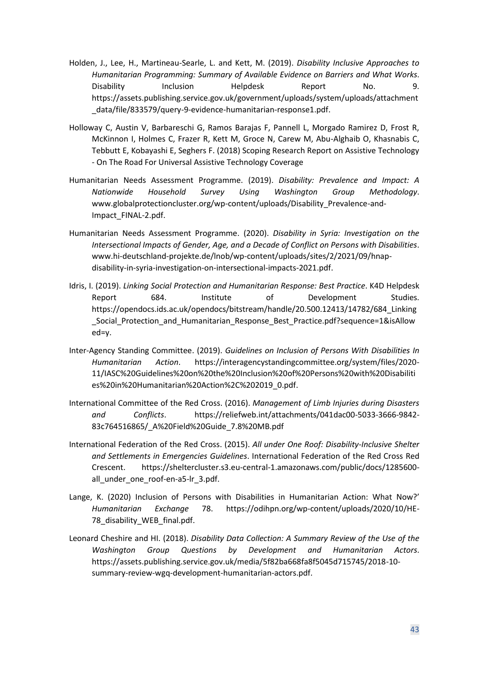- Holden, J., Lee, H., Martineau-Searle, L. and Kett, M. (2019). *Disability Inclusive Approaches to Humanitarian Programming: Summary of Available Evidence on Barriers and What Works*. Disability Inclusion Helpdesk Report No. 9. https://assets.publishing.service.gov.uk/government/uploads/system/uploads/attachment \_data/file/833579/query-9-evidence-humanitarian-response1.pdf.
- Holloway C, Austin V, Barbareschi G, Ramos Barajas F, Pannell L, Morgado Ramirez D, Frost R, McKinnon I, Holmes C, Frazer R, Kett M, Groce N, Carew M, Abu-Alghaib O, Khasnabis C, Tebbutt E, Kobayashi E, Seghers F. (2018) Scoping Research Report on Assistive Technology - On The Road For Universal Assistive Technology Coverage
- Humanitarian Needs Assessment Programme. (2019). *Disability: Prevalence and Impact: A Nationwide Household Survey Using Washington Group Methodology*. www.globalprotectioncluster.org/wp-content/uploads/Disability\_Prevalence-and-Impact\_FINAL-2.pdf.
- Humanitarian Needs Assessment Programme. (2020). *Disability in Syria: Investigation on the Intersectional Impacts of Gender, Age, and a Decade of Conflict on Persons with Disabilities*. www.hi-deutschland-projekte.de/lnob/wp-content/uploads/sites/2/2021/09/hnapdisability-in-syria-investigation-on-intersectional-impacts-2021.pdf.
- Idris, I. (2019). *Linking Social Protection and Humanitarian Response: Best Practice*. K4D Helpdesk Report 684. Institute of Development Studies. https://opendocs.ids.ac.uk/opendocs/bitstream/handle/20.500.12413/14782/684\_Linking \_Social\_Protection\_and\_Humanitarian\_Response\_Best\_Practice.pdf?sequence=1&isAllow ed=y.
- Inter-Agency Standing Committee. (2019). *Guidelines on Inclusion of Persons With Disabilities In Humanitarian Action*. https://interagencystandingcommittee.org/system/files/2020- 11/IASC%20Guidelines%20on%20the%20Inclusion%20of%20Persons%20with%20Disabiliti es%20in%20Humanitarian%20Action%2C%202019\_0.pdf.
- International Committee of the Red Cross. (2016). *Management of Limb Injuries during Disasters and Conflicts*. https://reliefweb.int/attachments/041dac00-5033-3666-9842- 83c764516865/\_A%20Field%20Guide\_7.8%20MB.pdf
- International Federation of the Red Cross. (2015). *All under One Roof: Disability-Inclusive Shelter and Settlements in Emergencies Guidelines*. International Federation of the Red Cross Red Crescent. https://sheltercluster.s3.eu-central-1.amazonaws.com/public/docs/1285600 all\_under\_one\_roof-en-a5-lr\_3.pdf.
- Lange, K. (2020) Inclusion of Persons with Disabilities in Humanitarian Action: What Now?' *Humanitarian Exchange* 78. https://odihpn.org/wp-content/uploads/2020/10/HE-78\_disability\_WEB\_final.pdf.
- Leonard Cheshire and HI. (2018). *Disability Data Collection: A Summary Review of the Use of the Washington Group Questions by Development and Humanitarian Actors*. https://assets.publishing.service.gov.uk/media/5f82ba668fa8f5045d715745/2018-10 summary-review-wgq-development-humanitarian-actors.pdf.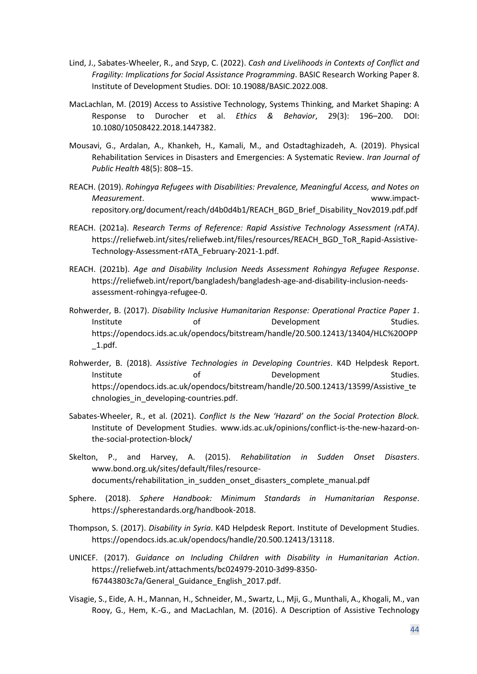- Lind, J., Sabates-Wheeler, R., and Szyp, C. (2022). *Cash and Livelihoods in Contexts of Conflict and Fragility: Implications for Social Assistance Programming*. BASIC Research Working Paper 8. Institute of Development Studies. DOI: 10.19088/BASIC.2022.008.
- MacLachlan, M. (2019) Access to Assistive Technology, Systems Thinking, and Market Shaping: A Response to Durocher et al. *Ethics & Behavior*, 29(3): 196–200. DOI: 10.1080/10508422.2018.1447382.
- Mousavi, G., Ardalan, A., Khankeh, H., Kamali, M., and Ostadtaghizadeh, A. (2019). Physical Rehabilitation Services in Disasters and Emergencies: A Systematic Review. *Iran Journal of Public Health* 48(5): 808–15.
- REACH. (2019). *Rohingya Refugees with Disabilities: Prevalence, Meaningful Access, and Notes on Measurement*. www.impactrepository.org/document/reach/d4b0d4b1/REACH\_BGD\_Brief\_Disability\_Nov2019.pdf.pdf
- REACH. (2021a). *Research Terms of Reference: Rapid Assistive Technology Assessment (rATA)*. https://reliefweb.int/sites/reliefweb.int/files/resources/REACH\_BGD\_ToR\_Rapid-Assistive-Technology-Assessment-rATA\_February-2021-1.pdf.
- REACH. (2021b). *Age and Disability Inclusion Needs Assessment Rohingya Refugee Response*. https://reliefweb.int/report/bangladesh/bangladesh-age-and-disability-inclusion-needsassessment-rohingya-refugee-0.
- Rohwerder, B. (2017). *Disability Inclusive Humanitarian Response: Operational Practice Paper 1*. Institute of of Development Studies. https://opendocs.ids.ac.uk/opendocs/bitstream/handle/20.500.12413/13404/HLC%20OPP  $\_1.pdf$ .
- Rohwerder, B. (2018). *Assistive Technologies in Developing Countries*. K4D Helpdesk Report. Institute of of Development Studies. https://opendocs.ids.ac.uk/opendocs/bitstream/handle/20.500.12413/13599/Assistive\_te chnologies\_in\_developing-countries.pdf.
- Sabates-Wheeler, R., et al. (2021). *Conflict Is the New 'Hazard' on the Social Protection Block.*  Institute of Development Studies. www.ids.ac.uk/opinions/conflict-is-the-new-hazard-onthe-social-protection-block/
- Skelton, P., and Harvey, A. (2015). *Rehabilitation in Sudden Onset Disasters*. www.bond.org.uk/sites/default/files/resourcedocuments/rehabilitation\_in\_sudden\_onset\_disasters\_complete\_manual.pdf
- Sphere. (2018). *Sphere Handbook: Minimum Standards in Humanitarian Response*. https://spherestandards.org/handbook-2018.
- Thompson, S. (2017). *Disability in Syria*. K4D Helpdesk Report. Institute of Development Studies. https://opendocs.ids.ac.uk/opendocs/handle/20.500.12413/13118.
- UNICEF. (2017). *Guidance on Including Children with Disability in Humanitarian Action*. https://reliefweb.int/attachments/bc024979-2010-3d99-8350 f67443803c7a/General\_Guidance\_English\_2017.pdf.
- Visagie, S., Eide, A. H., Mannan, H., Schneider, M., Swartz, L., Mji, G., Munthali, A., Khogali, M., van Rooy, G., Hem, K.-G., and MacLachlan, M. (2016). A Description of Assistive Technology